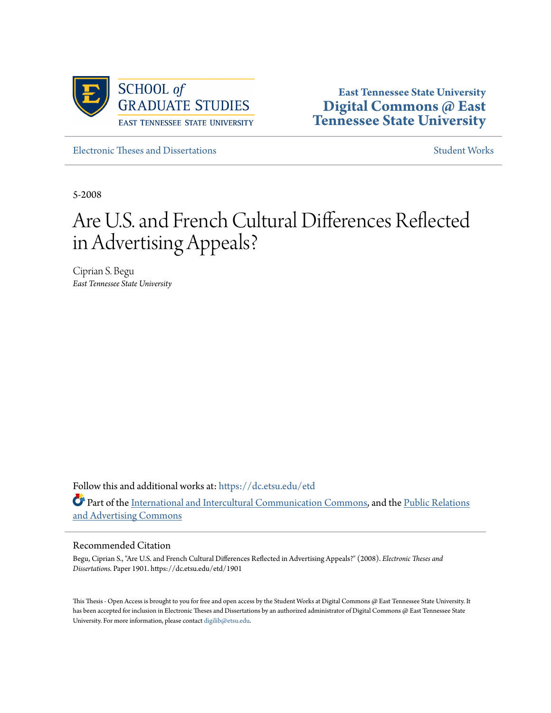

**East Tennessee State University [Digital Commons @ East](https://dc.etsu.edu?utm_source=dc.etsu.edu%2Fetd%2F1901&utm_medium=PDF&utm_campaign=PDFCoverPages) [Tennessee State University](https://dc.etsu.edu?utm_source=dc.etsu.edu%2Fetd%2F1901&utm_medium=PDF&utm_campaign=PDFCoverPages)**

[Electronic Theses and Dissertations](https://dc.etsu.edu/etd?utm_source=dc.etsu.edu%2Fetd%2F1901&utm_medium=PDF&utm_campaign=PDFCoverPages) [Student Works](https://dc.etsu.edu/student-works?utm_source=dc.etsu.edu%2Fetd%2F1901&utm_medium=PDF&utm_campaign=PDFCoverPages) Student Works

5-2008

# Are U.S. and French Cultural Differences Reflected in Advertising Appeals?

Ciprian S. Begu *East Tennessee State University*

Follow this and additional works at: [https://dc.etsu.edu/etd](https://dc.etsu.edu/etd?utm_source=dc.etsu.edu%2Fetd%2F1901&utm_medium=PDF&utm_campaign=PDFCoverPages) Part of the [International and Intercultural Communication Commons](http://network.bepress.com/hgg/discipline/331?utm_source=dc.etsu.edu%2Fetd%2F1901&utm_medium=PDF&utm_campaign=PDFCoverPages), and the [Public Relations](http://network.bepress.com/hgg/discipline/336?utm_source=dc.etsu.edu%2Fetd%2F1901&utm_medium=PDF&utm_campaign=PDFCoverPages) [and Advertising Commons](http://network.bepress.com/hgg/discipline/336?utm_source=dc.etsu.edu%2Fetd%2F1901&utm_medium=PDF&utm_campaign=PDFCoverPages)

#### Recommended Citation

Begu, Ciprian S., "Are U.S. and French Cultural Differences Reflected in Advertising Appeals?" (2008). *Electronic Theses and Dissertations.* Paper 1901. https://dc.etsu.edu/etd/1901

This Thesis - Open Access is brought to you for free and open access by the Student Works at Digital Commons @ East Tennessee State University. It has been accepted for inclusion in Electronic Theses and Dissertations by an authorized administrator of Digital Commons @ East Tennessee State University. For more information, please contact [digilib@etsu.edu.](mailto:digilib@etsu.edu)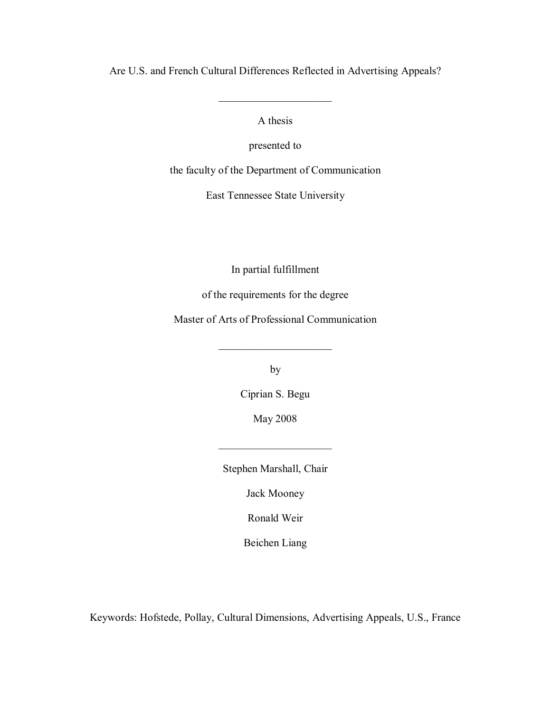Are U.S. and French Cultural Differences Reflected in Advertising Appeals?

A thesis

 $\overline{\phantom{a}}$  , where  $\overline{\phantom{a}}$ 

presented to

the faculty of the Department of Communication

East Tennessee State University

In partial fulfillment

of the requirements for the degree

Master of Arts of Professional Communication

by

 $\overline{\phantom{a}}$  , where  $\overline{\phantom{a}}$ 

Ciprian S. Begu

May 2008

Stephen Marshall, Chair

 $\overline{\phantom{a}}$  , where  $\overline{\phantom{a}}$ 

Jack Mooney

Ronald Weir

Beichen Liang

Keywords: Hofstede, Pollay, Cultural Dimensions, Advertising Appeals, U.S., France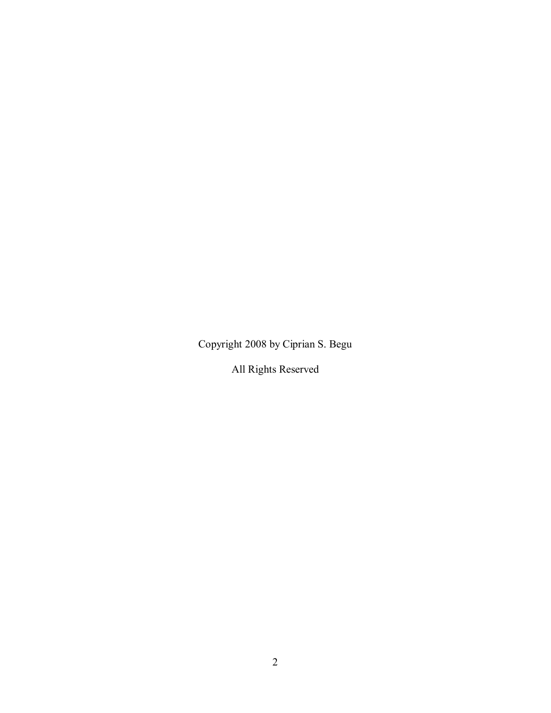Copyright 2008 by Ciprian S. Begu

All Rights Reserved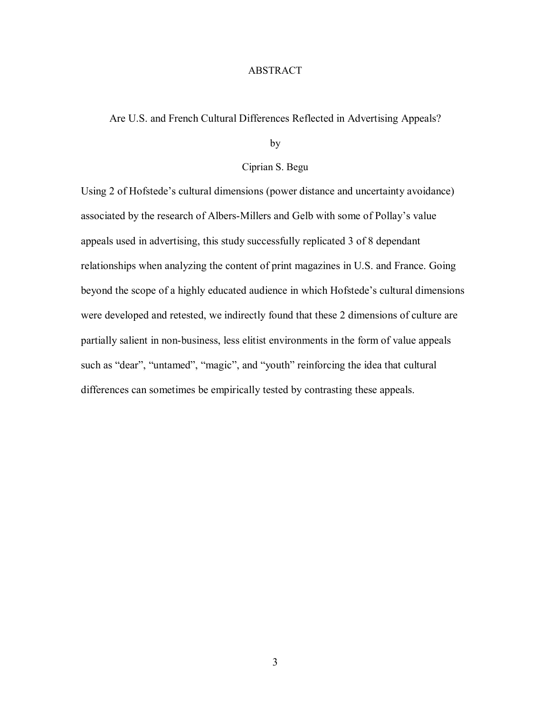#### ABSTRACT

#### Are U.S. and French Cultural Differences Reflected in Advertising Appeals?

by

#### Ciprian S. Begu

Using 2 of Hofstede's cultural dimensions (power distance and uncertainty avoidance) associated by the research of Albers-Millers and Gelb with some of Pollay's value appeals used in advertising, this study successfully replicated 3 of 8 dependant relationships when analyzing the content of print magazines in U.S. and France. Going beyond the scope of a highly educated audience in which Hofstede's cultural dimensions were developed and retested, we indirectly found that these 2 dimensions of culture are partially salient in non-business, less elitist environments in the form of value appeals such as "dear", "untamed", "magic", and "youth" reinforcing the idea that cultural differences can sometimes be empirically tested by contrasting these appeals.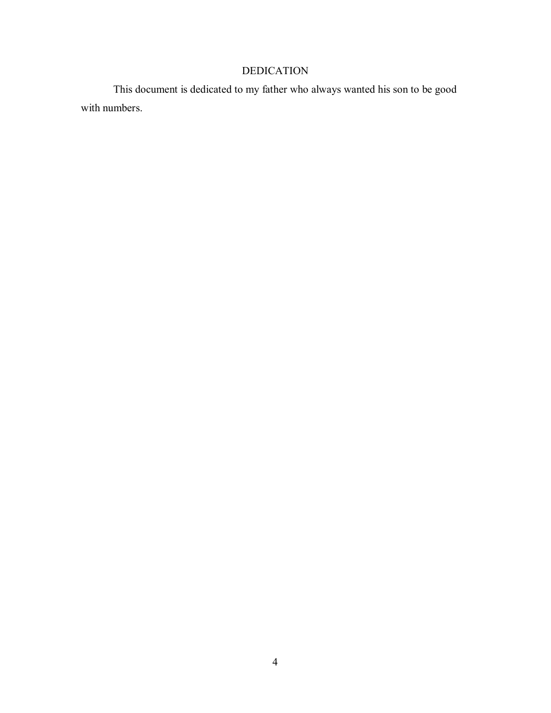## DEDICATION

 This document is dedicated to my father who always wanted his son to be good with numbers.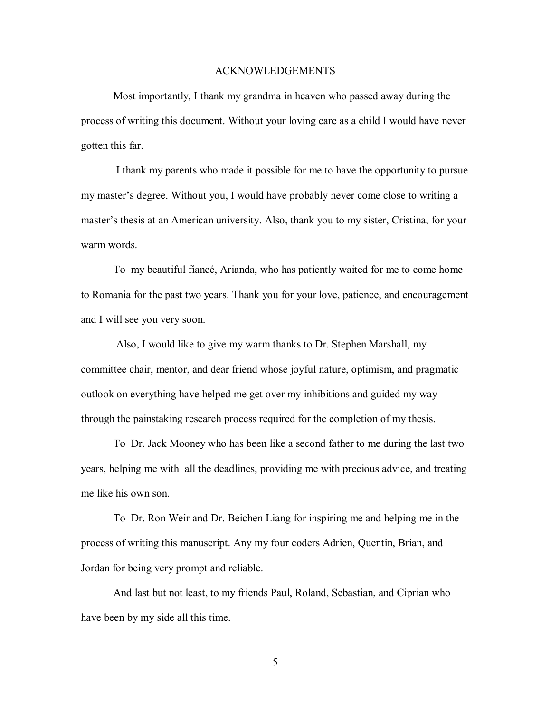#### ACKNOWLEDGEMENTS

 Most importantly, I thank my grandma in heaven who passed away during the process of writing this document. Without your loving care as a child I would have never gotten this far.

 I thank my parents who made it possible for me to have the opportunity to pursue my master's degree. Without you, I would have probably never come close to writing a master's thesis at an American university. Also, thank you to my sister, Cristina, for your warm words.

 To my beautiful fiancé, Arianda, who has patiently waited for me to come home to Romania for the past two years. Thank you for your love, patience, and encouragement and I will see you very soon.

 Also, I would like to give my warm thanks to Dr. Stephen Marshall, my committee chair, mentor, and dear friend whose joyful nature, optimism, and pragmatic outlook on everything have helped me get over my inhibitions and guided my way through the painstaking research process required for the completion of my thesis.

 To Dr. Jack Mooney who has been like a second father to me during the last two years, helping me with all the deadlines, providing me with precious advice, and treating me like his own son.

 To Dr. Ron Weir and Dr. Beichen Liang for inspiring me and helping me in the process of writing this manuscript. Any my four coders Adrien, Quentin, Brian, and Jordan for being very prompt and reliable.

 And last but not least, to my friends Paul, Roland, Sebastian, and Ciprian who have been by my side all this time.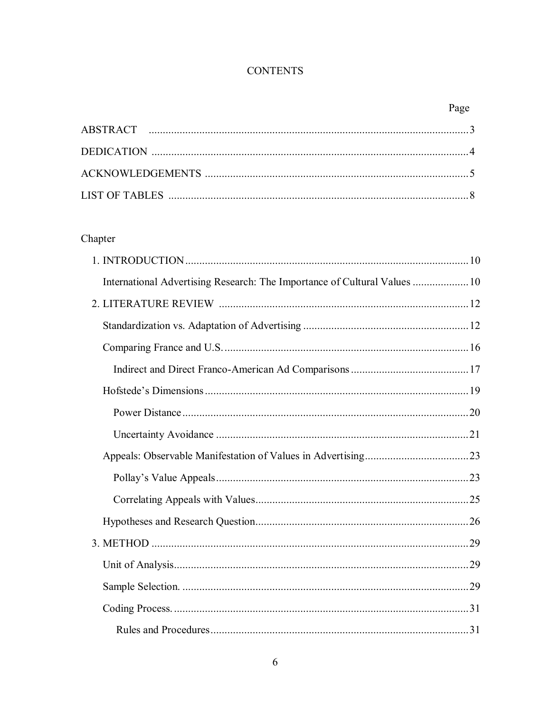## **CONTENTS**

## Chapter

| International Advertising Research: The Importance of Cultural Values  10 |  |
|---------------------------------------------------------------------------|--|
|                                                                           |  |
|                                                                           |  |
|                                                                           |  |
|                                                                           |  |
|                                                                           |  |
|                                                                           |  |
|                                                                           |  |
|                                                                           |  |
|                                                                           |  |
|                                                                           |  |
|                                                                           |  |
|                                                                           |  |
|                                                                           |  |
|                                                                           |  |
|                                                                           |  |
|                                                                           |  |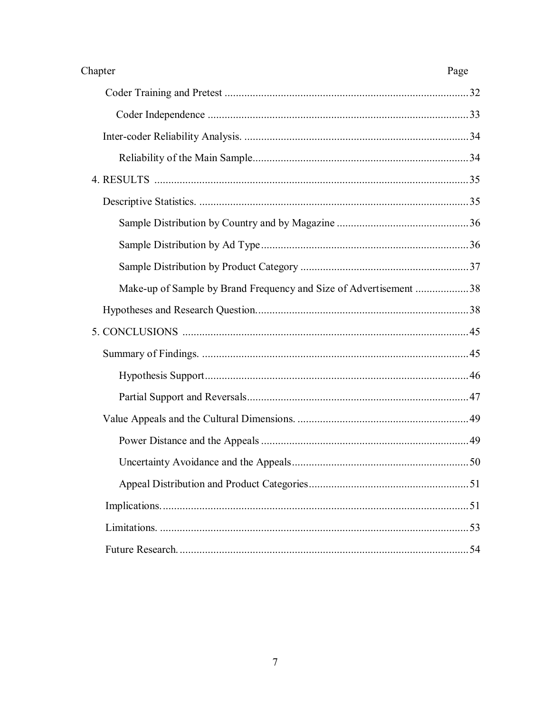| Chapter                                                           | Page |
|-------------------------------------------------------------------|------|
|                                                                   |      |
|                                                                   |      |
|                                                                   |      |
|                                                                   |      |
|                                                                   |      |
|                                                                   |      |
|                                                                   |      |
|                                                                   |      |
|                                                                   |      |
| Make-up of Sample by Brand Frequency and Size of Advertisement 38 |      |
|                                                                   |      |
|                                                                   |      |
|                                                                   |      |
|                                                                   |      |
|                                                                   |      |
|                                                                   |      |
|                                                                   |      |
|                                                                   |      |
|                                                                   |      |
|                                                                   |      |
|                                                                   |      |
|                                                                   |      |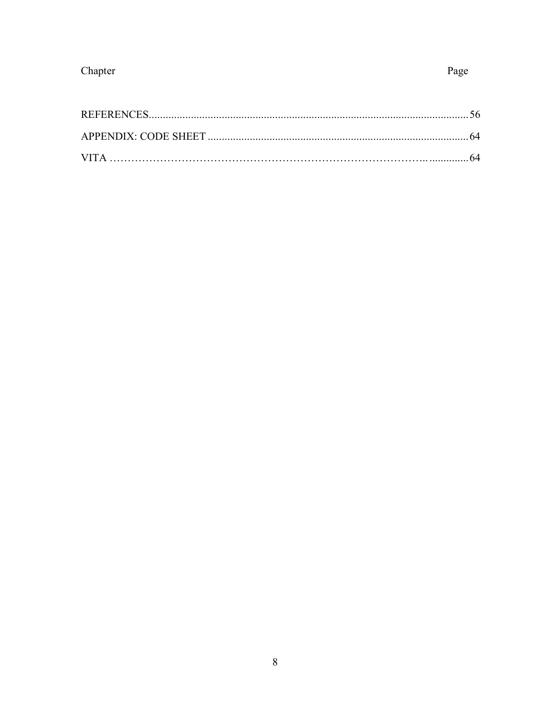## Chapter

## Page

| <b>VITA</b> |  |
|-------------|--|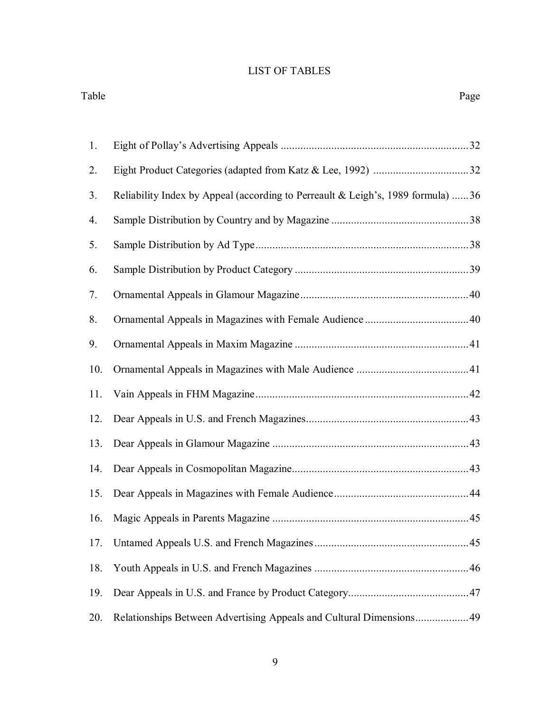## LIST OF TABLES

Table Page

| 1.  |                                                                                 |  |
|-----|---------------------------------------------------------------------------------|--|
| 2.  |                                                                                 |  |
| 3.  | Reliability Index by Appeal (according to Perreault & Leigh's, 1989 formula) 36 |  |
| 4.  |                                                                                 |  |
| 5.  |                                                                                 |  |
| 6.  |                                                                                 |  |
| 7.  |                                                                                 |  |
| 8.  |                                                                                 |  |
| 9.  |                                                                                 |  |
| 10. |                                                                                 |  |
| 11. |                                                                                 |  |
| 12. |                                                                                 |  |
| 13. |                                                                                 |  |
| 14. |                                                                                 |  |
| 15. |                                                                                 |  |
| 16. |                                                                                 |  |
| 17. |                                                                                 |  |
| 18. |                                                                                 |  |
| 19. |                                                                                 |  |
| 20. | Relationships Between Advertising Appeals and Cultural Dimensions 49            |  |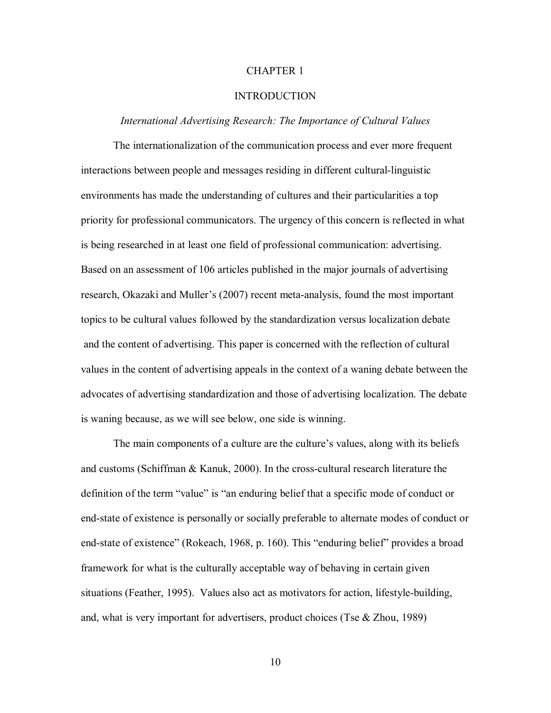#### CHAPTER 1

#### INTRODUCTION

#### *International Advertising Research: The Importance of Cultural Values*

 The internationalization of the communication process and ever more frequent interactions between people and messages residing in different cultural-linguistic environments has made the understanding of cultures and their particularities a top priority for professional communicators. The urgency of this concern is reflected in what is being researched in at least one field of professional communication: advertising. Based on an assessment of 106 articles published in the major journals of advertising research, Okazaki and Muller's (2007) recent meta-analysis, found the most important topics to be cultural values followed by the standardization versus localization debate and the content of advertising. This paper is concerned with the reflection of cultural values in the content of advertising appeals in the context of a waning debate between the advocates of advertising standardization and those of advertising localization. The debate is waning because, as we will see below, one side is winning.

 The main components of a culture are the culture's values, along with its beliefs and customs (Schiffman & Kanuk, 2000). In the cross-cultural research literature the definition of the term "value" is "an enduring belief that a specific mode of conduct or end-state of existence is personally or socially preferable to alternate modes of conduct or end-state of existence" (Rokeach, 1968, p. 160). This "enduring belief" provides a broad framework for what is the culturally acceptable way of behaving in certain given situations (Feather, 1995). Values also act as motivators for action, lifestyle-building, and, what is very important for advertisers, product choices (Tse & Zhou, 1989)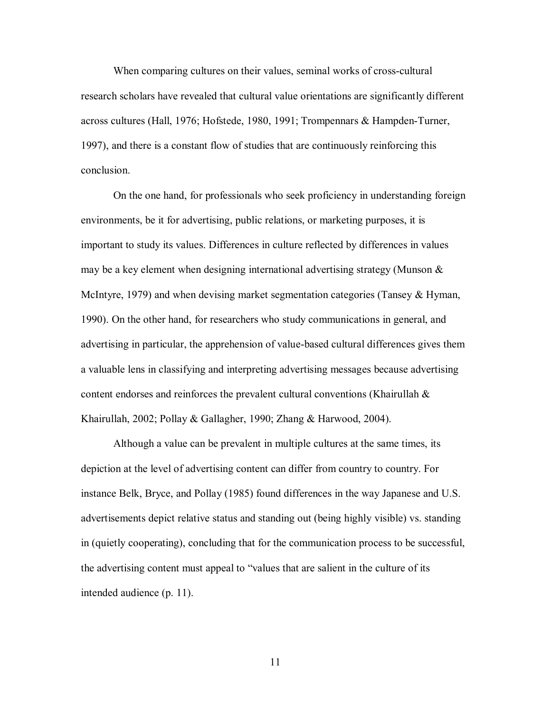When comparing cultures on their values, seminal works of cross-cultural research scholars have revealed that cultural value orientations are significantly different across cultures (Hall, 1976; Hofstede, 1980, 1991; Trompennars & Hampden-Turner, 1997), and there is a constant flow of studies that are continuously reinforcing this conclusion.

 On the one hand, for professionals who seek proficiency in understanding foreign environments, be it for advertising, public relations, or marketing purposes, it is important to study its values. Differences in culture reflected by differences in values may be a key element when designing international advertising strategy (Munson  $\&$ McIntyre, 1979) and when devising market segmentation categories (Tansey & Hyman, 1990). On the other hand, for researchers who study communications in general, and advertising in particular, the apprehension of value-based cultural differences gives them a valuable lens in classifying and interpreting advertising messages because advertising content endorses and reinforces the prevalent cultural conventions (Khairullah  $\&$ Khairullah, 2002; Pollay & Gallagher, 1990; Zhang & Harwood, 2004).

 Although a value can be prevalent in multiple cultures at the same times, its depiction at the level of advertising content can differ from country to country. For instance Belk, Bryce, and Pollay (1985) found differences in the way Japanese and U.S. advertisements depict relative status and standing out (being highly visible) vs. standing in (quietly cooperating), concluding that for the communication process to be successful, the advertising content must appeal to "values that are salient in the culture of its intended audience (p. 11).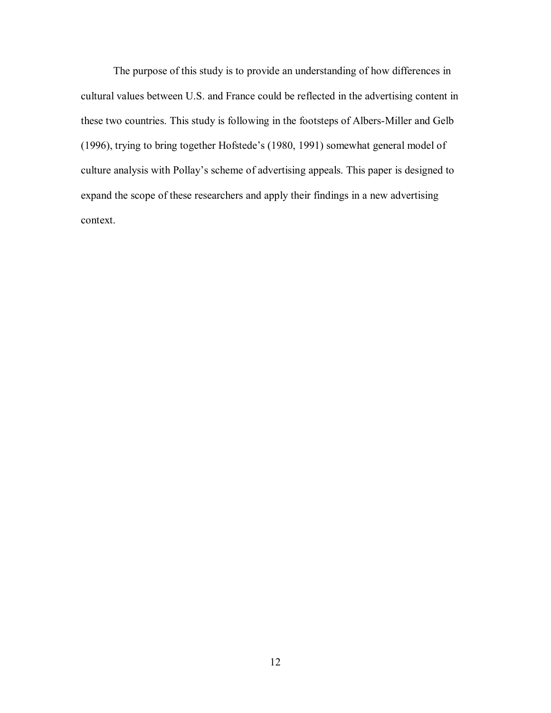The purpose of this study is to provide an understanding of how differences in cultural values between U.S. and France could be reflected in the advertising content in these two countries. This study is following in the footsteps of Albers-Miller and Gelb (1996), trying to bring together Hofstede's (1980, 1991) somewhat general model of culture analysis with Pollay's scheme of advertising appeals. This paper is designed to expand the scope of these researchers and apply their findings in a new advertising context.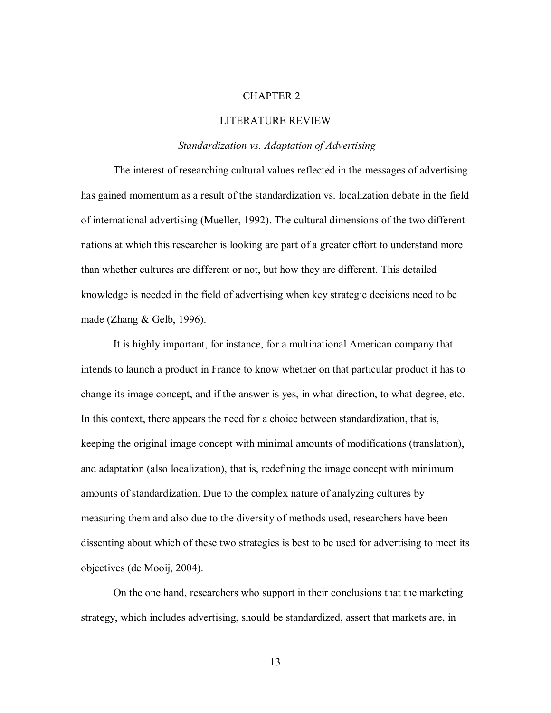#### CHAPTER 2

#### LITERATURE REVIEW

#### *Standardization vs. Adaptation of Advertising*

 The interest of researching cultural values reflected in the messages of advertising has gained momentum as a result of the standardization vs. localization debate in the field of international advertising (Mueller, 1992). The cultural dimensions of the two different nations at which this researcher is looking are part of a greater effort to understand more than whether cultures are different or not, but how they are different. This detailed knowledge is needed in the field of advertising when key strategic decisions need to be made (Zhang & Gelb, 1996).

 It is highly important, for instance, for a multinational American company that intends to launch a product in France to know whether on that particular product it has to change its image concept, and if the answer is yes, in what direction, to what degree, etc. In this context, there appears the need for a choice between standardization, that is, keeping the original image concept with minimal amounts of modifications (translation), and adaptation (also localization), that is, redefining the image concept with minimum amounts of standardization. Due to the complex nature of analyzing cultures by measuring them and also due to the diversity of methods used, researchers have been dissenting about which of these two strategies is best to be used for advertising to meet its objectives (de Mooij, 2004).

On the one hand, researchers who support in their conclusions that the marketing strategy, which includes advertising, should be standardized, assert that markets are, in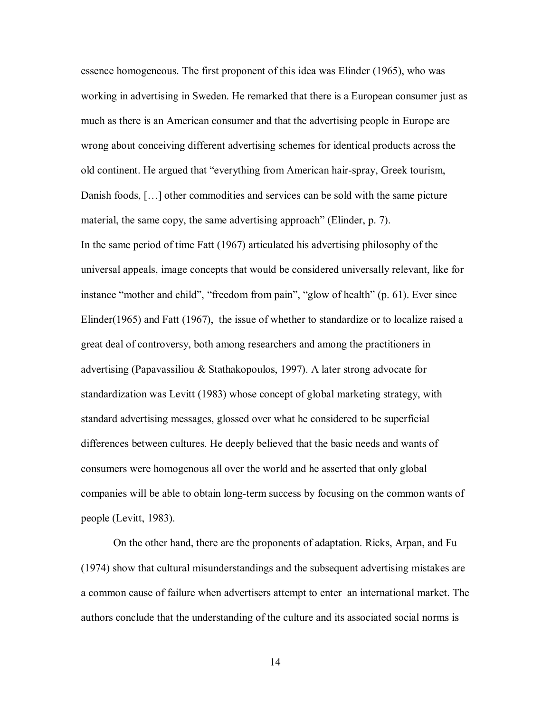essence homogeneous. The first proponent of this idea was Elinder (1965), who was working in advertising in Sweden. He remarked that there is a European consumer just as much as there is an American consumer and that the advertising people in Europe are wrong about conceiving different advertising schemes for identical products across the old continent. He argued that "everything from American hair-spray, Greek tourism, Danish foods, […] other commodities and services can be sold with the same picture material, the same copy, the same advertising approach" (Elinder, p. 7). In the same period of time Fatt (1967) articulated his advertising philosophy of the universal appeals, image concepts that would be considered universally relevant, like for instance "mother and child", "freedom from pain", "glow of health" (p. 61). Ever since Elinder(1965) and Fatt (1967), the issue of whether to standardize or to localize raised a great deal of controversy, both among researchers and among the practitioners in advertising (Papavassiliou & Stathakopoulos, 1997). A later strong advocate for standardization was Levitt (1983) whose concept of global marketing strategy, with standard advertising messages, glossed over what he considered to be superficial differences between cultures. He deeply believed that the basic needs and wants of consumers were homogenous all over the world and he asserted that only global companies will be able to obtain long-term success by focusing on the common wants of people (Levitt, 1983).

On the other hand, there are the proponents of adaptation. Ricks, Arpan, and Fu (1974) show that cultural misunderstandings and the subsequent advertising mistakes are a common cause of failure when advertisers attempt to enter an international market. The authors conclude that the understanding of the culture and its associated social norms is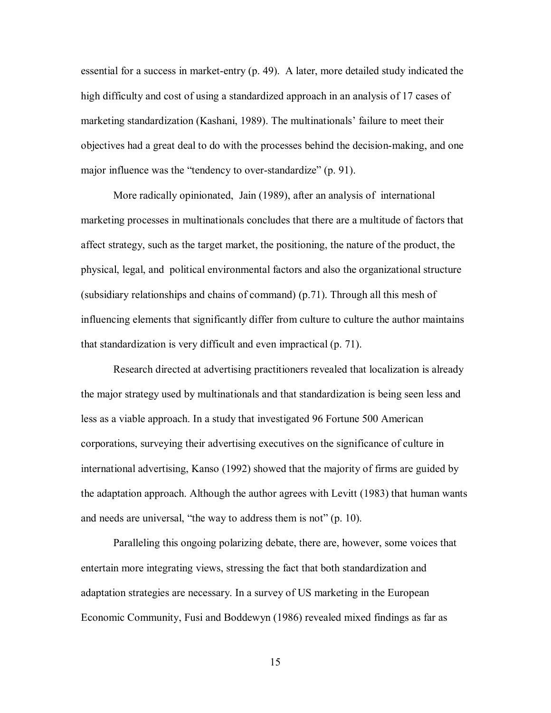essential for a success in market-entry (p. 49). A later, more detailed study indicated the high difficulty and cost of using a standardized approach in an analysis of 17 cases of marketing standardization (Kashani, 1989). The multinationals' failure to meet their objectives had a great deal to do with the processes behind the decision-making, and one major influence was the "tendency to over-standardize" (p. 91).

More radically opinionated, Jain (1989), after an analysis of international marketing processes in multinationals concludes that there are a multitude of factors that affect strategy, such as the target market, the positioning, the nature of the product, the physical, legal, and political environmental factors and also the organizational structure (subsidiary relationships and chains of command) (p.71). Through all this mesh of influencing elements that significantly differ from culture to culture the author maintains that standardization is very difficult and even impractical (p. 71).

 Research directed at advertising practitioners revealed that localization is already the major strategy used by multinationals and that standardization is being seen less and less as a viable approach. In a study that investigated 96 Fortune 500 American corporations, surveying their advertising executives on the significance of culture in international advertising, Kanso (1992) showed that the majority of firms are guided by the adaptation approach. Although the author agrees with Levitt (1983) that human wants and needs are universal, "the way to address them is not" (p. 10).

 Paralleling this ongoing polarizing debate, there are, however, some voices that entertain more integrating views, stressing the fact that both standardization and adaptation strategies are necessary. In a survey of US marketing in the European Economic Community, Fusi and Boddewyn (1986) revealed mixed findings as far as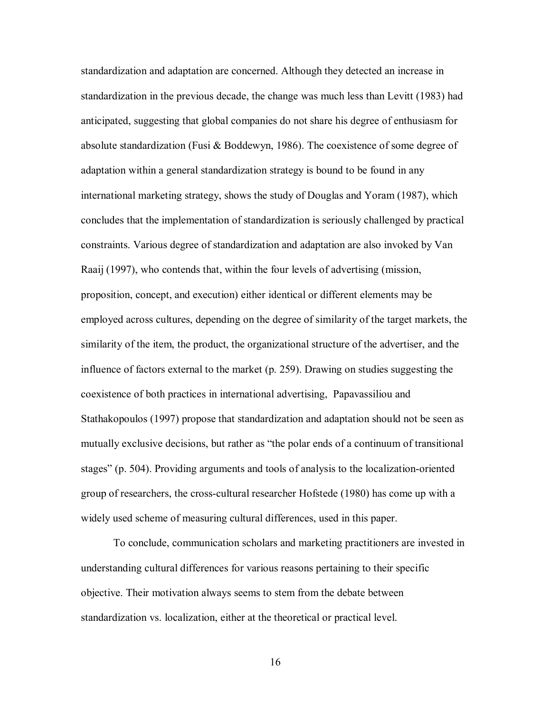standardization and adaptation are concerned. Although they detected an increase in standardization in the previous decade, the change was much less than Levitt (1983) had anticipated, suggesting that global companies do not share his degree of enthusiasm for absolute standardization (Fusi & Boddewyn, 1986). The coexistence of some degree of adaptation within a general standardization strategy is bound to be found in any international marketing strategy, shows the study of Douglas and Yoram (1987), which concludes that the implementation of standardization is seriously challenged by practical constraints. Various degree of standardization and adaptation are also invoked by Van Raaij (1997), who contends that, within the four levels of advertising (mission, proposition, concept, and execution) either identical or different elements may be employed across cultures, depending on the degree of similarity of the target markets, the similarity of the item, the product, the organizational structure of the advertiser, and the influence of factors external to the market (p. 259). Drawing on studies suggesting the coexistence of both practices in international advertising, Papavassiliou and Stathakopoulos (1997) propose that standardization and adaptation should not be seen as mutually exclusive decisions, but rather as "the polar ends of a continuum of transitional stages" (p. 504). Providing arguments and tools of analysis to the localization-oriented group of researchers, the cross-cultural researcher Hofstede (1980) has come up with a widely used scheme of measuring cultural differences, used in this paper.

 To conclude, communication scholars and marketing practitioners are invested in understanding cultural differences for various reasons pertaining to their specific objective. Their motivation always seems to stem from the debate between standardization vs. localization, either at the theoretical or practical level.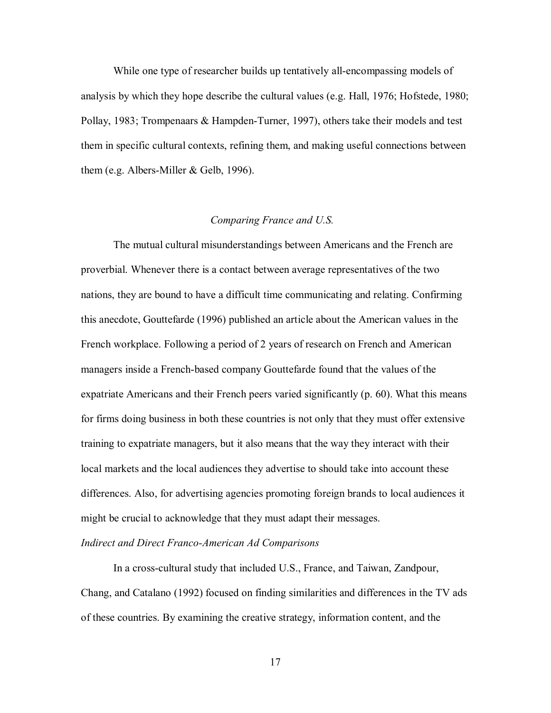While one type of researcher builds up tentatively all-encompassing models of analysis by which they hope describe the cultural values (e.g. Hall, 1976; Hofstede, 1980; Pollay, 1983; Trompenaars & Hampden-Turner, 1997), others take their models and test them in specific cultural contexts, refining them, and making useful connections between them (e.g. Albers-Miller & Gelb, 1996).

#### *Comparing France and U.S.*

 The mutual cultural misunderstandings between Americans and the French are proverbial. Whenever there is a contact between average representatives of the two nations, they are bound to have a difficult time communicating and relating. Confirming this anecdote, Gouttefarde (1996) published an article about the American values in the French workplace. Following a period of 2 years of research on French and American managers inside a French-based company Gouttefarde found that the values of the expatriate Americans and their French peers varied significantly (p. 60). What this means for firms doing business in both these countries is not only that they must offer extensive training to expatriate managers, but it also means that the way they interact with their local markets and the local audiences they advertise to should take into account these differences. Also, for advertising agencies promoting foreign brands to local audiences it might be crucial to acknowledge that they must adapt their messages.

#### *Indirect and Direct Franco-American Ad Comparisons*

 In a cross-cultural study that included U.S., France, and Taiwan, Zandpour, Chang, and Catalano (1992) focused on finding similarities and differences in the TV ads of these countries. By examining the creative strategy, information content, and the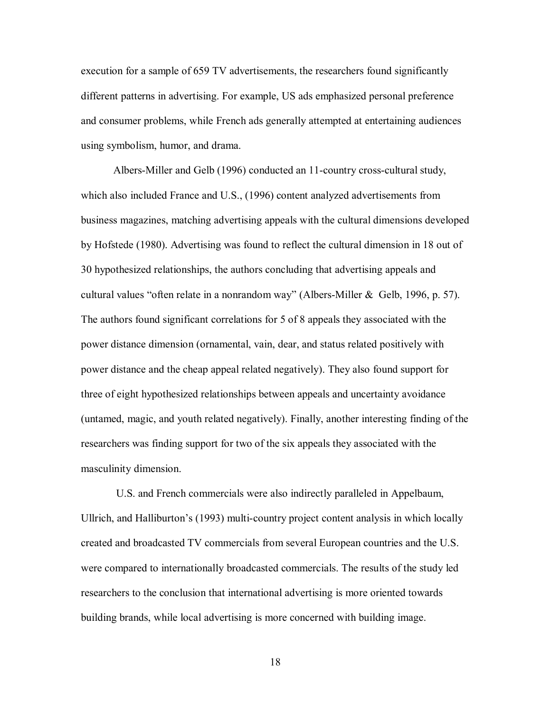execution for a sample of 659 TV advertisements, the researchers found significantly different patterns in advertising. For example, US ads emphasized personal preference and consumer problems, while French ads generally attempted at entertaining audiences using symbolism, humor, and drama.

 Albers-Miller and Gelb (1996) conducted an 11-country cross-cultural study, which also included France and U.S., (1996) content analyzed advertisements from business magazines, matching advertising appeals with the cultural dimensions developed by Hofstede (1980). Advertising was found to reflect the cultural dimension in 18 out of 30 hypothesized relationships, the authors concluding that advertising appeals and cultural values "often relate in a nonrandom way" (Albers-Miller & Gelb, 1996, p. 57). The authors found significant correlations for 5 of 8 appeals they associated with the power distance dimension (ornamental, vain, dear, and status related positively with power distance and the cheap appeal related negatively). They also found support for three of eight hypothesized relationships between appeals and uncertainty avoidance (untamed, magic, and youth related negatively). Finally, another interesting finding of the researchers was finding support for two of the six appeals they associated with the masculinity dimension.

 U.S. and French commercials were also indirectly paralleled in Appelbaum, Ullrich, and Halliburton's (1993) multi-country project content analysis in which locally created and broadcasted TV commercials from several European countries and the U.S. were compared to internationally broadcasted commercials. The results of the study led researchers to the conclusion that international advertising is more oriented towards building brands, while local advertising is more concerned with building image.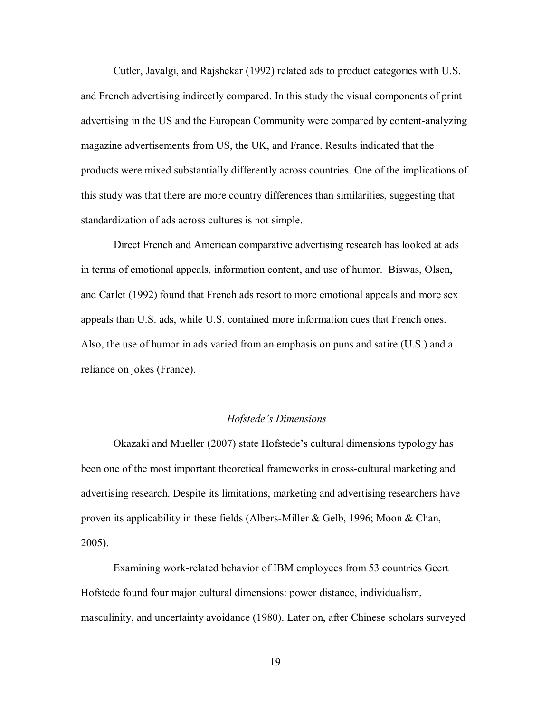Cutler, Javalgi, and Rajshekar (1992) related ads to product categories with U.S. and French advertising indirectly compared. In this study the visual components of print advertising in the US and the European Community were compared by content-analyzing magazine advertisements from US, the UK, and France. Results indicated that the products were mixed substantially differently across countries. One of the implications of this study was that there are more country differences than similarities, suggesting that standardization of ads across cultures is not simple.

 Direct French and American comparative advertising research has looked at ads in terms of emotional appeals, information content, and use of humor. Biswas, Olsen, and Carlet (1992) found that French ads resort to more emotional appeals and more sex appeals than U.S. ads, while U.S. contained more information cues that French ones. Also, the use of humor in ads varied from an emphasis on puns and satire (U.S.) and a reliance on jokes (France).

#### *Hofstede's Dimensions*

 Okazaki and Mueller (2007) state Hofstede's cultural dimensions typology has been one of the most important theoretical frameworks in cross-cultural marketing and advertising research. Despite its limitations, marketing and advertising researchers have proven its applicability in these fields (Albers-Miller & Gelb, 1996; Moon & Chan, 2005).

 Examining work-related behavior of IBM employees from 53 countries Geert Hofstede found four major cultural dimensions: power distance, individualism, masculinity, and uncertainty avoidance (1980). Later on, after Chinese scholars surveyed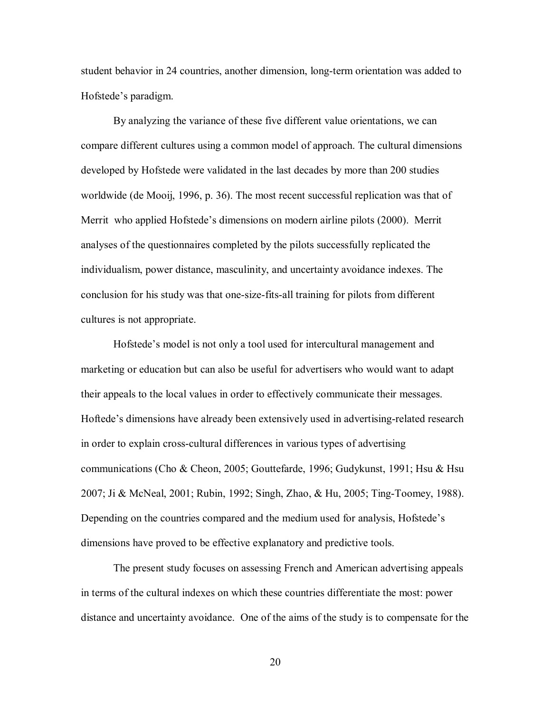student behavior in 24 countries, another dimension, long-term orientation was added to Hofstede's paradigm.

 By analyzing the variance of these five different value orientations, we can compare different cultures using a common model of approach. The cultural dimensions developed by Hofstede were validated in the last decades by more than 200 studies worldwide (de Mooij, 1996, p. 36). The most recent successful replication was that of Merrit who applied Hofstede's dimensions on modern airline pilots (2000). Merrit analyses of the questionnaires completed by the pilots successfully replicated the individualism, power distance, masculinity, and uncertainty avoidance indexes. The conclusion for his study was that one-size-fits-all training for pilots from different cultures is not appropriate.

 Hofstede's model is not only a tool used for intercultural management and marketing or education but can also be useful for advertisers who would want to adapt their appeals to the local values in order to effectively communicate their messages. Hoftede's dimensions have already been extensively used in advertising-related research in order to explain cross-cultural differences in various types of advertising communications (Cho & Cheon, 2005; Gouttefarde, 1996; Gudykunst, 1991; Hsu & Hsu 2007; Ji & McNeal, 2001; Rubin, 1992; Singh, Zhao, & Hu, 2005; Ting-Toomey, 1988). Depending on the countries compared and the medium used for analysis, Hofstede's dimensions have proved to be effective explanatory and predictive tools.

The present study focuses on assessing French and American advertising appeals in terms of the cultural indexes on which these countries differentiate the most: power distance and uncertainty avoidance. One of the aims of the study is to compensate for the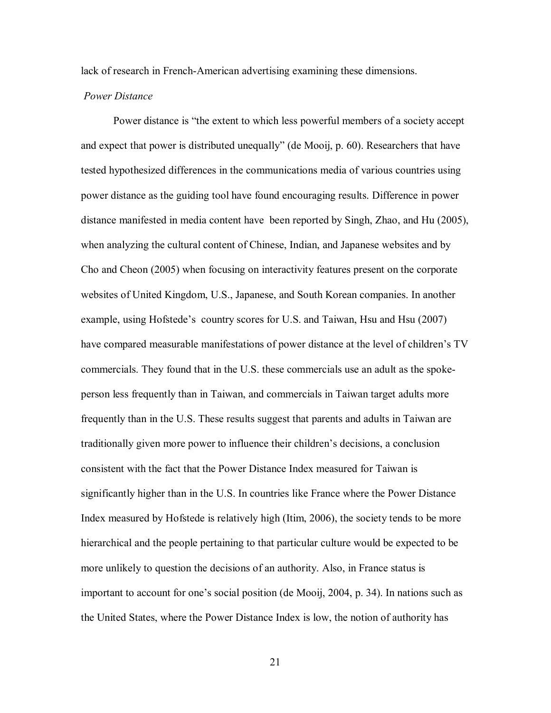lack of research in French-American advertising examining these dimensions.

#### *Power Distance*

 Power distance is "the extent to which less powerful members of a society accept and expect that power is distributed unequally" (de Mooij, p. 60). Researchers that have tested hypothesized differences in the communications media of various countries using power distance as the guiding tool have found encouraging results. Difference in power distance manifested in media content have been reported by Singh, Zhao, and Hu (2005), when analyzing the cultural content of Chinese, Indian, and Japanese websites and by Cho and Cheon (2005) when focusing on interactivity features present on the corporate websites of United Kingdom, U.S., Japanese, and South Korean companies. In another example, using Hofstede's country scores for U.S. and Taiwan, Hsu and Hsu (2007) have compared measurable manifestations of power distance at the level of children's TV commercials. They found that in the U.S. these commercials use an adult as the spokeperson less frequently than in Taiwan, and commercials in Taiwan target adults more frequently than in the U.S. These results suggest that parents and adults in Taiwan are traditionally given more power to influence their children's decisions, a conclusion consistent with the fact that the Power Distance Index measured for Taiwan is significantly higher than in the U.S. In countries like France where the Power Distance Index measured by Hofstede is relatively high (Itim, 2006), the society tends to be more hierarchical and the people pertaining to that particular culture would be expected to be more unlikely to question the decisions of an authority. Also, in France status is important to account for one's social position (de Mooij, 2004, p. 34). In nations such as the United States, where the Power Distance Index is low, the notion of authority has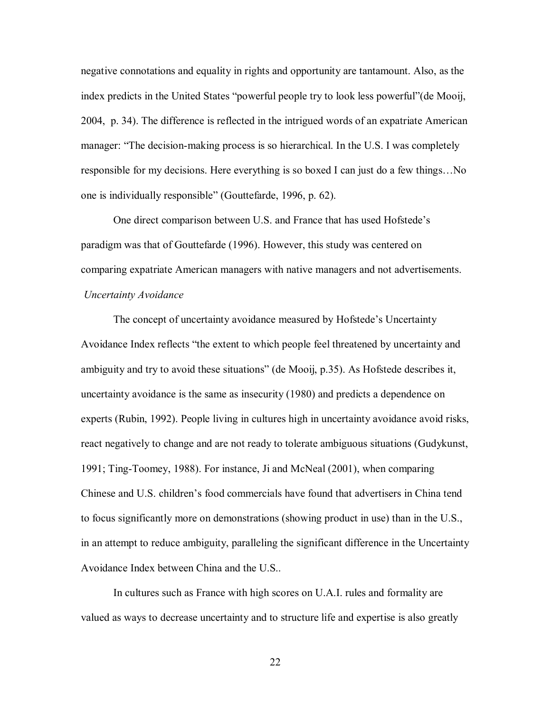negative connotations and equality in rights and opportunity are tantamount. Also, as the index predicts in the United States "powerful people try to look less powerful"(de Mooij, 2004, p. 34). The difference is reflected in the intrigued words of an expatriate American manager: "The decision-making process is so hierarchical. In the U.S. I was completely responsible for my decisions. Here everything is so boxed I can just do a few things…No one is individually responsible" (Gouttefarde, 1996, p. 62).

 One direct comparison between U.S. and France that has used Hofstede's paradigm was that of Gouttefarde (1996). However, this study was centered on comparing expatriate American managers with native managers and not advertisements. *Uncertainty Avoidance*

 The concept of uncertainty avoidance measured by Hofstede's Uncertainty Avoidance Index reflects "the extent to which people feel threatened by uncertainty and ambiguity and try to avoid these situations" (de Mooij, p.35). As Hofstede describes it, uncertainty avoidance is the same as insecurity (1980) and predicts a dependence on experts (Rubin, 1992). People living in cultures high in uncertainty avoidance avoid risks, react negatively to change and are not ready to tolerate ambiguous situations (Gudykunst, 1991; Ting-Toomey, 1988). For instance, Ji and McNeal (2001), when comparing Chinese and U.S. children's food commercials have found that advertisers in China tend to focus significantly more on demonstrations (showing product in use) than in the U.S., in an attempt to reduce ambiguity, paralleling the significant difference in the Uncertainty Avoidance Index between China and the U.S..

 In cultures such as France with high scores on U.A.I. rules and formality are valued as ways to decrease uncertainty and to structure life and expertise is also greatly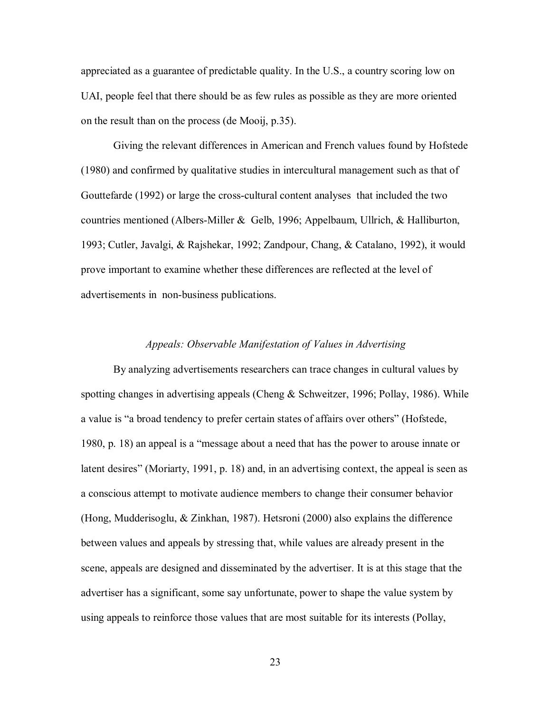appreciated as a guarantee of predictable quality. In the U.S., a country scoring low on UAI, people feel that there should be as few rules as possible as they are more oriented on the result than on the process (de Mooij, p.35).

 Giving the relevant differences in American and French values found by Hofstede (1980) and confirmed by qualitative studies in intercultural management such as that of Gouttefarde (1992) or large the cross-cultural content analyses that included the two countries mentioned (Albers-Miller & Gelb, 1996; Appelbaum, Ullrich, & Halliburton, 1993; Cutler, Javalgi, & Rajshekar, 1992; Zandpour, Chang, & Catalano, 1992), it would prove important to examine whether these differences are reflected at the level of advertisements in non-business publications.

#### *Appeals: Observable Manifestation of Values in Advertising*

 By analyzing advertisements researchers can trace changes in cultural values by spotting changes in advertising appeals (Cheng  $\&$  Schweitzer, 1996; Pollay, 1986). While a value is "a broad tendency to prefer certain states of affairs over others" (Hofstede, 1980, p. 18) an appeal is a "message about a need that has the power to arouse innate or latent desires" (Moriarty, 1991, p. 18) and, in an advertising context, the appeal is seen as a conscious attempt to motivate audience members to change their consumer behavior (Hong, Mudderisoglu, & Zinkhan, 1987). Hetsroni (2000) also explains the difference between values and appeals by stressing that, while values are already present in the scene, appeals are designed and disseminated by the advertiser. It is at this stage that the advertiser has a significant, some say unfortunate, power to shape the value system by using appeals to reinforce those values that are most suitable for its interests (Pollay,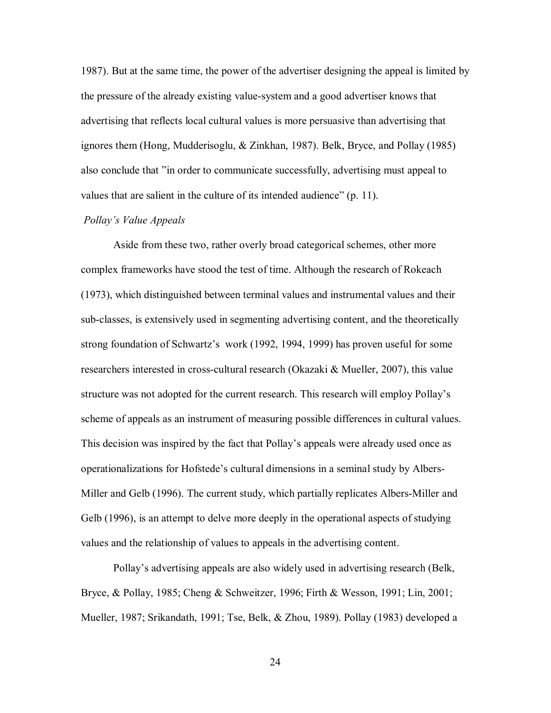1987). But at the same time, the power of the advertiser designing the appeal is limited by the pressure of the already existing value-system and a good advertiser knows that advertising that reflects local cultural values is more persuasive than advertising that ignores them (Hong, Mudderisoglu, & Zinkhan, 1987). Belk, Bryce, and Pollay (1985) also conclude that "in order to communicate successfully, advertising must appeal to values that are salient in the culture of its intended audience" (p. 11).

#### *Pollay's Value Appeals*

 Aside from these two, rather overly broad categorical schemes, other more complex frameworks have stood the test of time. Although the research of Rokeach (1973), which distinguished between terminal values and instrumental values and their sub-classes, is extensively used in segmenting advertising content, and the theoretically strong foundation of Schwartz's work (1992, 1994, 1999) has proven useful for some researchers interested in cross-cultural research (Okazaki & Mueller, 2007), this value structure was not adopted for the current research. This research will employ Pollay's scheme of appeals as an instrument of measuring possible differences in cultural values. This decision was inspired by the fact that Pollay's appeals were already used once as operationalizations for Hofstede's cultural dimensions in a seminal study by Albers-Miller and Gelb (1996). The current study, which partially replicates Albers-Miller and Gelb (1996), is an attempt to delve more deeply in the operational aspects of studying values and the relationship of values to appeals in the advertising content.

 Pollay's advertising appeals are also widely used in advertising research (Belk, Bryce, & Pollay, 1985; Cheng & Schweitzer, 1996; Firth & Wesson, 1991; Lin, 2001; Mueller, 1987; Srikandath, 1991; Tse, Belk, & Zhou, 1989). Pollay (1983) developed a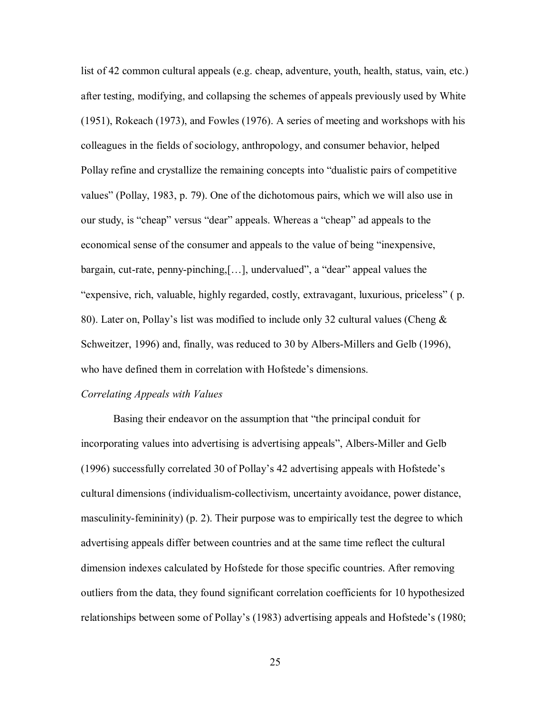list of 42 common cultural appeals (e.g. cheap, adventure, youth, health, status, vain, etc.) after testing, modifying, and collapsing the schemes of appeals previously used by White (1951), Rokeach (1973), and Fowles (1976). A series of meeting and workshops with his colleagues in the fields of sociology, anthropology, and consumer behavior, helped Pollay refine and crystallize the remaining concepts into "dualistic pairs of competitive values" (Pollay, 1983, p. 79). One of the dichotomous pairs, which we will also use in our study, is "cheap" versus "dear" appeals. Whereas a "cheap" ad appeals to the economical sense of the consumer and appeals to the value of being "inexpensive, bargain, cut-rate, penny-pinching,[…], undervalued", a "dear" appeal values the "expensive, rich, valuable, highly regarded, costly, extravagant, luxurious, priceless" ( p. 80). Later on, Pollay's list was modified to include only 32 cultural values (Cheng & Schweitzer, 1996) and, finally, was reduced to 30 by Albers-Millers and Gelb (1996), who have defined them in correlation with Hofstede's dimensions.

#### *Correlating Appeals with Values*

 Basing their endeavor on the assumption that "the principal conduit for incorporating values into advertising is advertising appeals", Albers-Miller and Gelb (1996) successfully correlated 30 of Pollay's 42 advertising appeals with Hofstede's cultural dimensions (individualism-collectivism, uncertainty avoidance, power distance, masculinity-femininity) (p. 2). Their purpose was to empirically test the degree to which advertising appeals differ between countries and at the same time reflect the cultural dimension indexes calculated by Hofstede for those specific countries. After removing outliers from the data, they found significant correlation coefficients for 10 hypothesized relationships between some of Pollay's (1983) advertising appeals and Hofstede's (1980;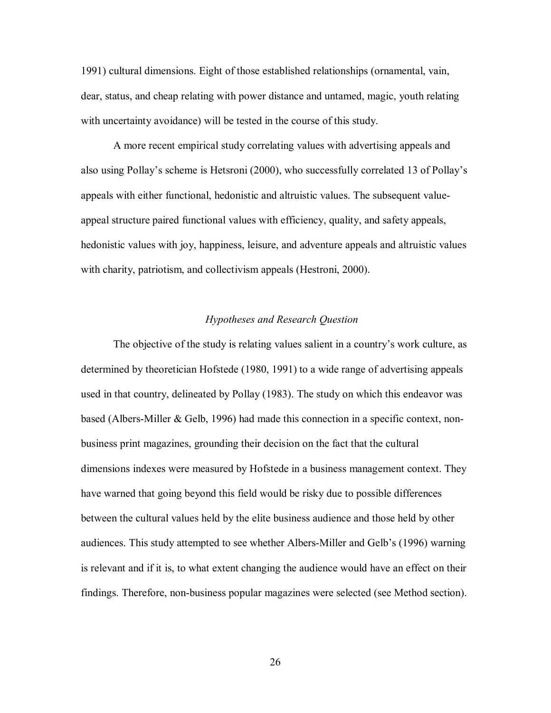1991) cultural dimensions. Eight of those established relationships (ornamental, vain, dear, status, and cheap relating with power distance and untamed, magic, youth relating with uncertainty avoidance) will be tested in the course of this study.

 A more recent empirical study correlating values with advertising appeals and also using Pollay's scheme is Hetsroni (2000), who successfully correlated 13 of Pollay's appeals with either functional, hedonistic and altruistic values. The subsequent valueappeal structure paired functional values with efficiency, quality, and safety appeals, hedonistic values with joy, happiness, leisure, and adventure appeals and altruistic values with charity, patriotism, and collectivism appeals (Hestroni, 2000).

#### *Hypotheses and Research Question*

 The objective of the study is relating values salient in a country's work culture, as determined by theoretician Hofstede (1980, 1991) to a wide range of advertising appeals used in that country, delineated by Pollay (1983). The study on which this endeavor was based (Albers-Miller & Gelb, 1996) had made this connection in a specific context, nonbusiness print magazines, grounding their decision on the fact that the cultural dimensions indexes were measured by Hofstede in a business management context. They have warned that going beyond this field would be risky due to possible differences between the cultural values held by the elite business audience and those held by other audiences. This study attempted to see whether Albers-Miller and Gelb's (1996) warning is relevant and if it is, to what extent changing the audience would have an effect on their findings. Therefore, non-business popular magazines were selected (see Method section).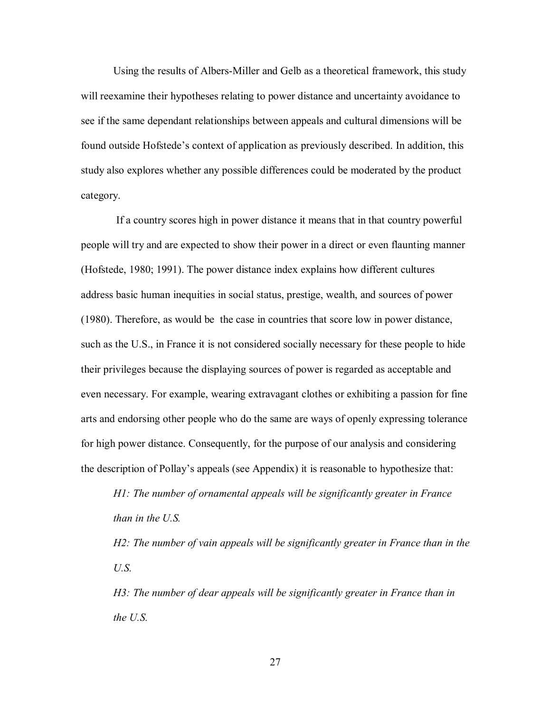Using the results of Albers-Miller and Gelb as a theoretical framework, this study will reexamine their hypotheses relating to power distance and uncertainty avoidance to see if the same dependant relationships between appeals and cultural dimensions will be found outside Hofstede's context of application as previously described. In addition, this study also explores whether any possible differences could be moderated by the product category.

 If a country scores high in power distance it means that in that country powerful people will try and are expected to show their power in a direct or even flaunting manner (Hofstede, 1980; 1991). The power distance index explains how different cultures address basic human inequities in social status, prestige, wealth, and sources of power (1980). Therefore, as would be the case in countries that score low in power distance, such as the U.S., in France it is not considered socially necessary for these people to hide their privileges because the displaying sources of power is regarded as acceptable and even necessary. For example, wearing extravagant clothes or exhibiting a passion for fine arts and endorsing other people who do the same are ways of openly expressing tolerance for high power distance. Consequently, for the purpose of our analysis and considering the description of Pollay's appeals (see Appendix) it is reasonable to hypothesize that:

*H1: The number of ornamental appeals will be significantly greater in France than in the U.S.* 

*H2: The number of vain appeals will be significantly greater in France than in the U.S.* 

*H3: The number of dear appeals will be significantly greater in France than in the U.S.*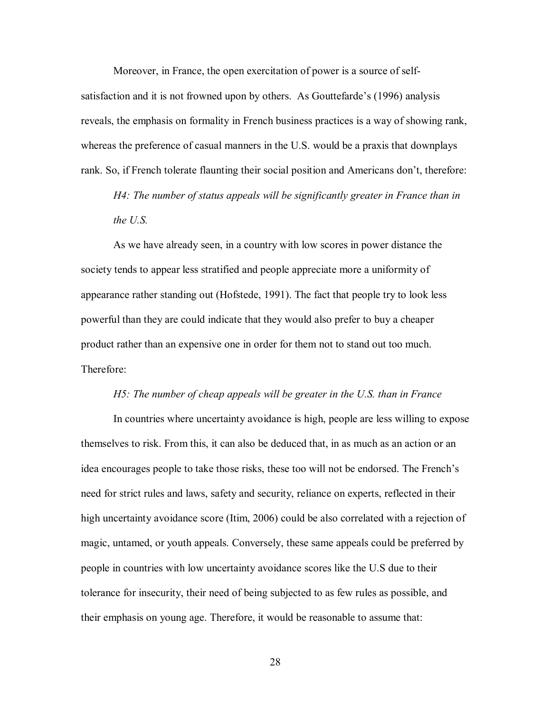Moreover, in France, the open exercitation of power is a source of selfsatisfaction and it is not frowned upon by others. As Gouttefarde's (1996) analysis reveals, the emphasis on formality in French business practices is a way of showing rank, whereas the preference of casual manners in the U.S. would be a praxis that downplays rank. So, if French tolerate flaunting their social position and Americans don't, therefore:

*H4: The number of status appeals will be significantly greater in France than in the U.S.* 

 As we have already seen, in a country with low scores in power distance the society tends to appear less stratified and people appreciate more a uniformity of appearance rather standing out (Hofstede, 1991). The fact that people try to look less powerful than they are could indicate that they would also prefer to buy a cheaper product rather than an expensive one in order for them not to stand out too much. Therefore:

#### *H5: The number of cheap appeals will be greater in the U.S. than in France*

 In countries where uncertainty avoidance is high, people are less willing to expose themselves to risk. From this, it can also be deduced that, in as much as an action or an idea encourages people to take those risks, these too will not be endorsed. The French's need for strict rules and laws, safety and security, reliance on experts, reflected in their high uncertainty avoidance score (Itim, 2006) could be also correlated with a rejection of magic, untamed, or youth appeals. Conversely, these same appeals could be preferred by people in countries with low uncertainty avoidance scores like the U.S due to their tolerance for insecurity, their need of being subjected to as few rules as possible, and their emphasis on young age. Therefore, it would be reasonable to assume that: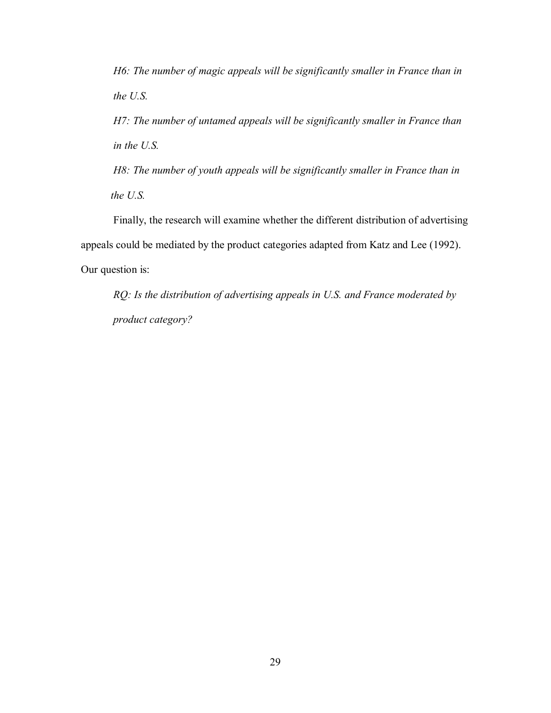*H6: The number of magic appeals will be significantly smaller in France than in the U.S.* 

*H7: The number of untamed appeals will be significantly smaller in France than in the U.S.* 

 *H8: The number of youth appeals will be significantly smaller in France than in the U.S.* 

Finally, the research will examine whether the different distribution of advertising appeals could be mediated by the product categories adapted from Katz and Lee (1992). Our question is:

*RQ: Is the distribution of advertising appeals in U.S. and France moderated by product category?*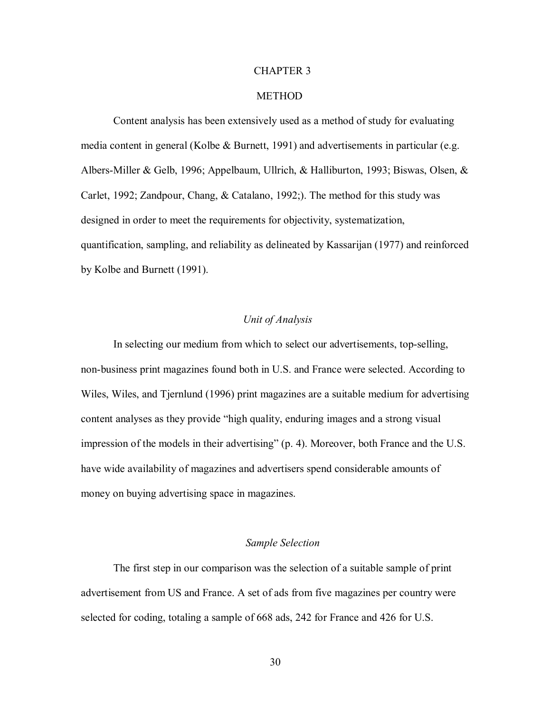#### CHAPTER 3

#### **METHOD**

 Content analysis has been extensively used as a method of study for evaluating media content in general (Kolbe & Burnett, 1991) and advertisements in particular (e.g. Albers-Miller & Gelb, 1996; Appelbaum, Ullrich, & Halliburton, 1993; Biswas, Olsen, & Carlet, 1992; Zandpour, Chang, & Catalano, 1992;). The method for this study was designed in order to meet the requirements for objectivity, systematization, quantification, sampling, and reliability as delineated by Kassarijan (1977) and reinforced by Kolbe and Burnett (1991).

#### *Unit of Analysis*

 In selecting our medium from which to select our advertisements, top-selling, non-business print magazines found both in U.S. and France were selected. According to Wiles, Wiles, and Tjernlund (1996) print magazines are a suitable medium for advertising content analyses as they provide "high quality, enduring images and a strong visual impression of the models in their advertising" (p. 4). Moreover, both France and the U.S. have wide availability of magazines and advertisers spend considerable amounts of money on buying advertising space in magazines.

#### *Sample Selection*

 The first step in our comparison was the selection of a suitable sample of print advertisement from US and France. A set of ads from five magazines per country were selected for coding, totaling a sample of 668 ads, 242 for France and 426 for U.S.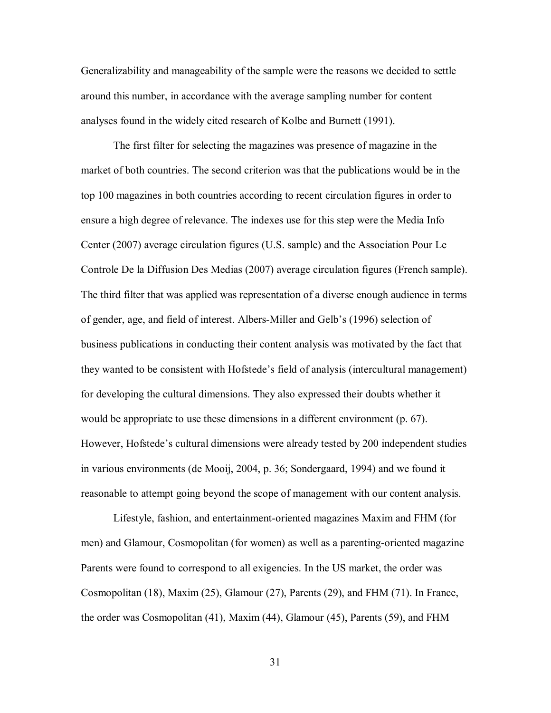Generalizability and manageability of the sample were the reasons we decided to settle around this number, in accordance with the average sampling number for content analyses found in the widely cited research of Kolbe and Burnett (1991).

 The first filter for selecting the magazines was presence of magazine in the market of both countries. The second criterion was that the publications would be in the top 100 magazines in both countries according to recent circulation figures in order to ensure a high degree of relevance. The indexes use for this step were the Media Info Center (2007) average circulation figures (U.S. sample) and the Association Pour Le Controle De la Diffusion Des Medias (2007) average circulation figures (French sample). The third filter that was applied was representation of a diverse enough audience in terms of gender, age, and field of interest. Albers-Miller and Gelb's (1996) selection of business publications in conducting their content analysis was motivated by the fact that they wanted to be consistent with Hofstede's field of analysis (intercultural management) for developing the cultural dimensions. They also expressed their doubts whether it would be appropriate to use these dimensions in a different environment (p. 67). However, Hofstede's cultural dimensions were already tested by 200 independent studies in various environments (de Mooij, 2004, p. 36; Sondergaard, 1994) and we found it reasonable to attempt going beyond the scope of management with our content analysis.

 Lifestyle, fashion, and entertainment-oriented magazines Maxim and FHM (for men) and Glamour, Cosmopolitan (for women) as well as a parenting-oriented magazine Parents were found to correspond to all exigencies. In the US market, the order was Cosmopolitan (18), Maxim (25), Glamour (27), Parents (29), and FHM (71). In France, the order was Cosmopolitan (41), Maxim (44), Glamour (45), Parents (59), and FHM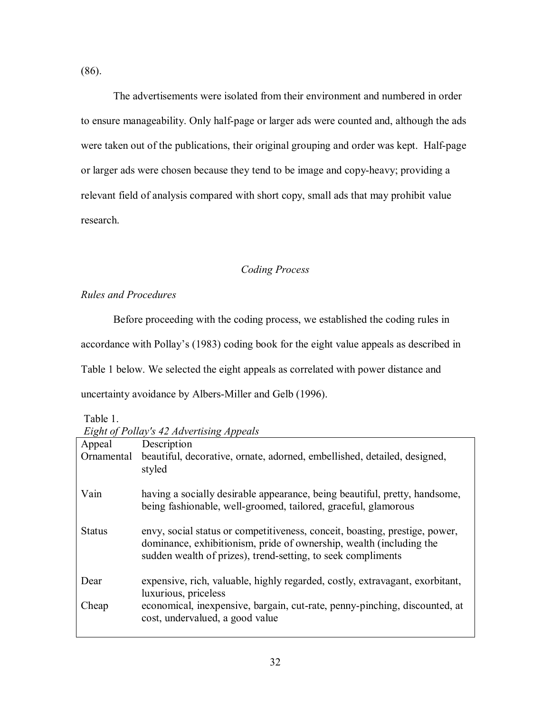(86).

 The advertisements were isolated from their environment and numbered in order to ensure manageability. Only half-page or larger ads were counted and, although the ads were taken out of the publications, their original grouping and order was kept. Half-page or larger ads were chosen because they tend to be image and copy-heavy; providing a relevant field of analysis compared with short copy, small ads that may prohibit value research.

#### *Coding Process*

*Rules and Procedures* 

 Before proceeding with the coding process, we established the coding rules in accordance with Pollay's (1983) coding book for the eight value appeals as described in Table 1 below. We selected the eight appeals as correlated with power distance and uncertainty avoidance by Albers-Miller and Gelb (1996).

Table 1.

*Eight of Pollay's 42 Advertising Appeals* 

| Appeal        | Description                                                                                                                                                                                                        |
|---------------|--------------------------------------------------------------------------------------------------------------------------------------------------------------------------------------------------------------------|
| Ornamental    | beautiful, decorative, ornate, adorned, embellished, detailed, designed,<br>styled                                                                                                                                 |
| Vain          | having a socially desirable appearance, being beautiful, pretty, handsome,<br>being fashionable, well-groomed, tailored, graceful, glamorous                                                                       |
| <b>Status</b> | envy, social status or competitiveness, conceit, boasting, prestige, power,<br>dominance, exhibitionism, pride of ownership, wealth (including the<br>sudden wealth of prizes), trend-setting, to seek compliments |
| Dear          | expensive, rich, valuable, highly regarded, costly, extravagant, exorbitant,<br>luxurious, priceless                                                                                                               |
| Cheap         | economical, inexpensive, bargain, cut-rate, penny-pinching, discounted, at<br>cost, undervalued, a good value                                                                                                      |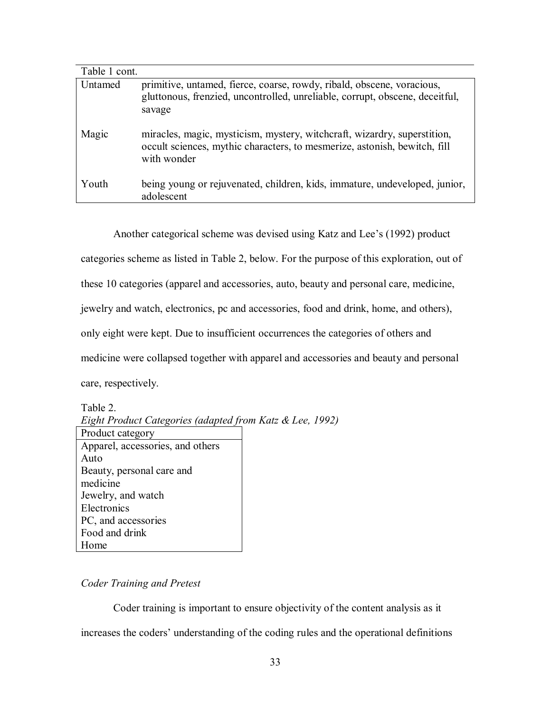| Table 1 cont. |                                                                                                                                                                      |
|---------------|----------------------------------------------------------------------------------------------------------------------------------------------------------------------|
| Untamed       | primitive, untamed, fierce, coarse, rowdy, ribald, obscene, voracious,<br>gluttonous, frenzied, uncontrolled, unreliable, corrupt, obscene, deceitful,<br>savage     |
| Magic         | miracles, magic, mysticism, mystery, witchcraft, wizardry, superstition,<br>occult sciences, mythic characters, to mesmerize, astonish, bewitch, fill<br>with wonder |
| Youth         | being young or rejuvenated, children, kids, immature, undeveloped, junior,<br>adolescent                                                                             |

Another categorical scheme was devised using Katz and Lee's (1992) product categories scheme as listed in Table 2, below. For the purpose of this exploration, out of these 10 categories (apparel and accessories, auto, beauty and personal care, medicine, jewelry and watch, electronics, pc and accessories, food and drink, home, and others), only eight were kept. Due to insufficient occurrences the categories of others and medicine were collapsed together with apparel and accessories and beauty and personal care, respectively.

Table 2.

*Eight Product Categories (adapted from Katz & Lee, 1992)*   $D_{\text{max}}$  duct category

| <b>FIGURE</b> Calegory           |
|----------------------------------|
| Apparel, accessories, and others |
| Auto                             |
| Beauty, personal care and        |
| medicine                         |
| Jewelry, and watch               |
| Electronics                      |
| PC, and accessories              |
| Food and drink                   |
| Home                             |

#### *Coder Training and Pretest*

 Coder training is important to ensure objectivity of the content analysis as it increases the coders' understanding of the coding rules and the operational definitions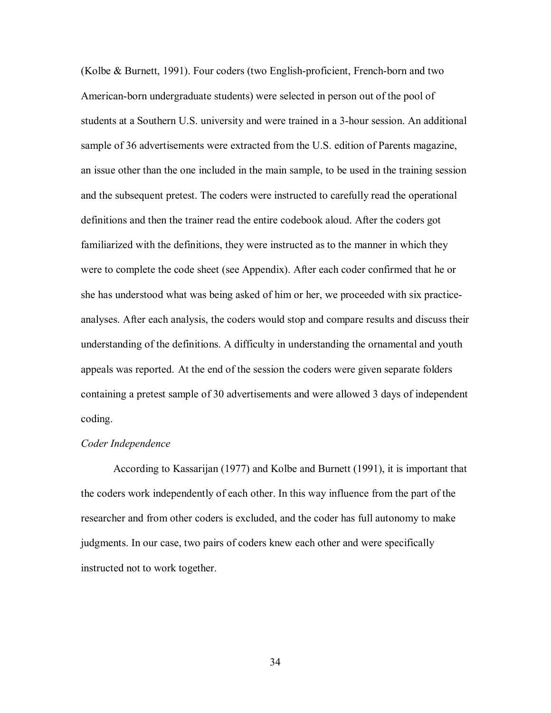(Kolbe & Burnett, 1991). Four coders (two English-proficient, French-born and two American-born undergraduate students) were selected in person out of the pool of students at a Southern U.S. university and were trained in a 3-hour session. An additional sample of 36 advertisements were extracted from the U.S. edition of Parents magazine, an issue other than the one included in the main sample, to be used in the training session and the subsequent pretest. The coders were instructed to carefully read the operational definitions and then the trainer read the entire codebook aloud. After the coders got familiarized with the definitions, they were instructed as to the manner in which they were to complete the code sheet (see Appendix). After each coder confirmed that he or she has understood what was being asked of him or her, we proceeded with six practiceanalyses. After each analysis, the coders would stop and compare results and discuss their understanding of the definitions. A difficulty in understanding the ornamental and youth appeals was reported. At the end of the session the coders were given separate folders containing a pretest sample of 30 advertisements and were allowed 3 days of independent coding.

#### *Coder Independence*

According to Kassarijan (1977) and Kolbe and Burnett (1991), it is important that the coders work independently of each other. In this way influence from the part of the researcher and from other coders is excluded, and the coder has full autonomy to make judgments. In our case, two pairs of coders knew each other and were specifically instructed not to work together.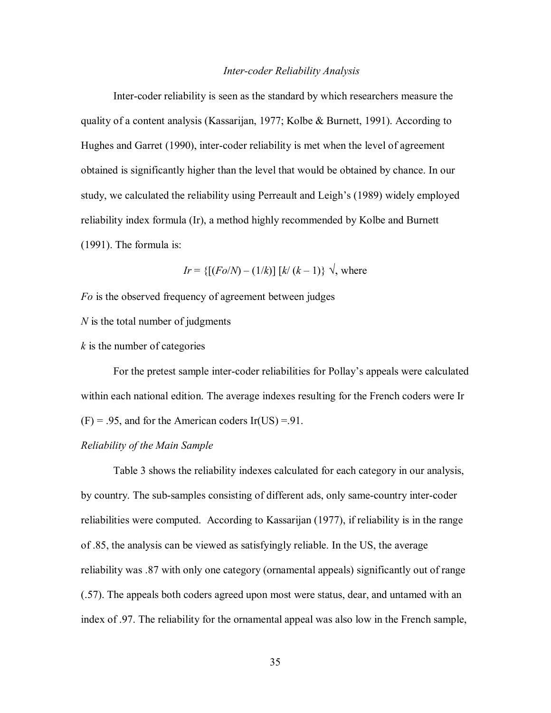#### *Inter-coder Reliability Analysis*

Inter-coder reliability is seen as the standard by which researchers measure the quality of a content analysis (Kassarijan, 1977; Kolbe & Burnett, 1991). According to Hughes and Garret (1990), inter-coder reliability is met when the level of agreement obtained is significantly higher than the level that would be obtained by chance. In our study, we calculated the reliability using Perreault and Leigh's (1989) widely employed reliability index formula (Ir), a method highly recommended by Kolbe and Burnett (1991). The formula is:

*Ir* = { $[(Fo/N) - (1/k)] [k/(k-1)] \sqrt{2}$ , where

*Fo* is the observed frequency of agreement between judges

*N* is the total number of judgments

*k* is the number of categories

 For the pretest sample inter-coder reliabilities for Pollay's appeals were calculated within each national edition. The average indexes resulting for the French coders were Ir  $(F) = .95$ , and for the American coders Ir(US) = 91.

#### *Reliability of the Main Sample*

 Table 3 shows the reliability indexes calculated for each category in our analysis, by country. The sub-samples consisting of different ads, only same-country inter-coder reliabilities were computed. According to Kassarijan (1977), if reliability is in the range of .85, the analysis can be viewed as satisfyingly reliable. In the US, the average reliability was .87 with only one category (ornamental appeals) significantly out of range (.57). The appeals both coders agreed upon most were status, dear, and untamed with an index of .97. The reliability for the ornamental appeal was also low in the French sample,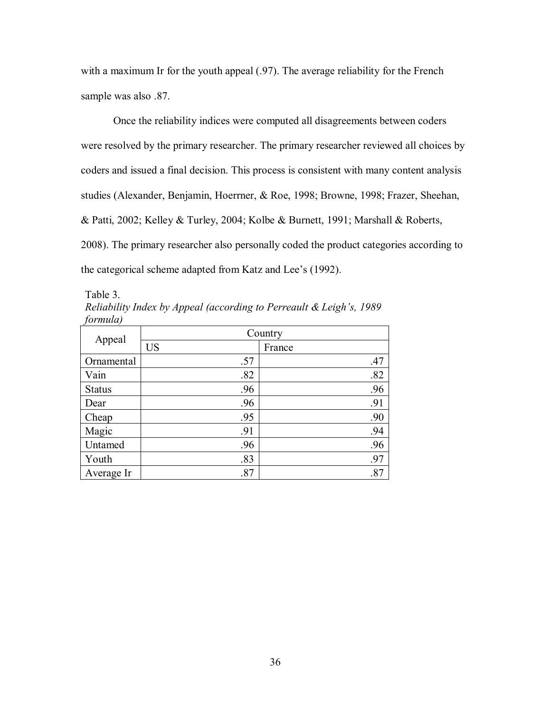with a maximum Ir for the youth appeal (.97). The average reliability for the French sample was also .87.

 Once the reliability indices were computed all disagreements between coders were resolved by the primary researcher. The primary researcher reviewed all choices by coders and issued a final decision. This process is consistent with many content analysis studies (Alexander, Benjamin, Hoerrner, & Roe, 1998; Browne, 1998; Frazer, Sheehan, & Patti, 2002; Kelley & Turley, 2004; Kolbe & Burnett, 1991; Marshall & Roberts, 2008). The primary researcher also personally coded the product categories according to the categorical scheme adapted from Katz and Lee's (1992).

Table 3.

| Reliability Index by Appeal (according to Perreault & Leigh's, 1989 |  |  |  |
|---------------------------------------------------------------------|--|--|--|
| formula)                                                            |  |  |  |

| Appeal        | Country   |        |  |  |  |
|---------------|-----------|--------|--|--|--|
|               | <b>US</b> | France |  |  |  |
| Ornamental    | .57       | .47    |  |  |  |
| Vain          | .82       | .82    |  |  |  |
| <b>Status</b> | .96       | .96    |  |  |  |
| Dear          | .96       | .91    |  |  |  |
| Cheap         | .95       | .90    |  |  |  |
| Magic         | .91       | .94    |  |  |  |
| Untamed       | .96       | .96    |  |  |  |
| Youth         | .83       | .97    |  |  |  |
| Average Ir    | .87       | .87    |  |  |  |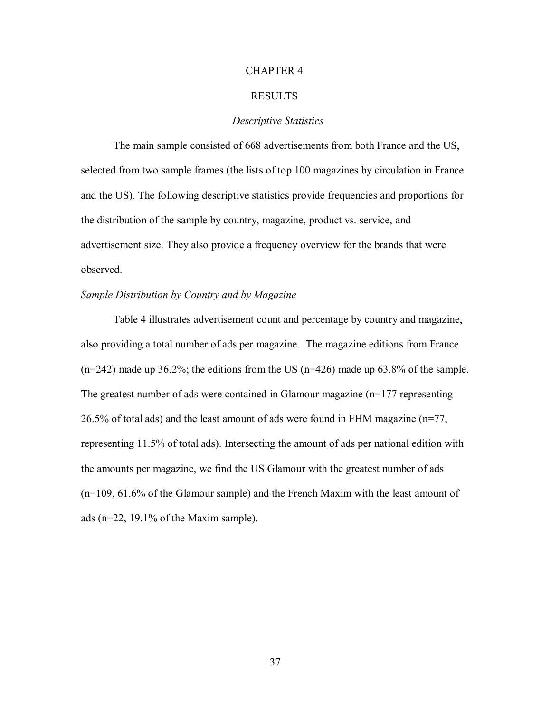#### CHAPTER 4

#### RESULTS

#### *Descriptive Statistics*

 The main sample consisted of 668 advertisements from both France and the US, selected from two sample frames (the lists of top 100 magazines by circulation in France and the US). The following descriptive statistics provide frequencies and proportions for the distribution of the sample by country, magazine, product vs. service, and advertisement size. They also provide a frequency overview for the brands that were observed.

#### *Sample Distribution by Country and by Magazine*

 Table 4 illustrates advertisement count and percentage by country and magazine, also providing a total number of ads per magazine. The magazine editions from France  $(n=242)$  made up 36.2%; the editions from the US  $(n=426)$  made up 63.8% of the sample. The greatest number of ads were contained in Glamour magazine  $(n=177$  representing 26.5% of total ads) and the least amount of ads were found in FHM magazine (n=77, representing 11.5% of total ads). Intersecting the amount of ads per national edition with the amounts per magazine, we find the US Glamour with the greatest number of ads (n=109, 61.6% of the Glamour sample) and the French Maxim with the least amount of ads (n=22, 19.1% of the Maxim sample).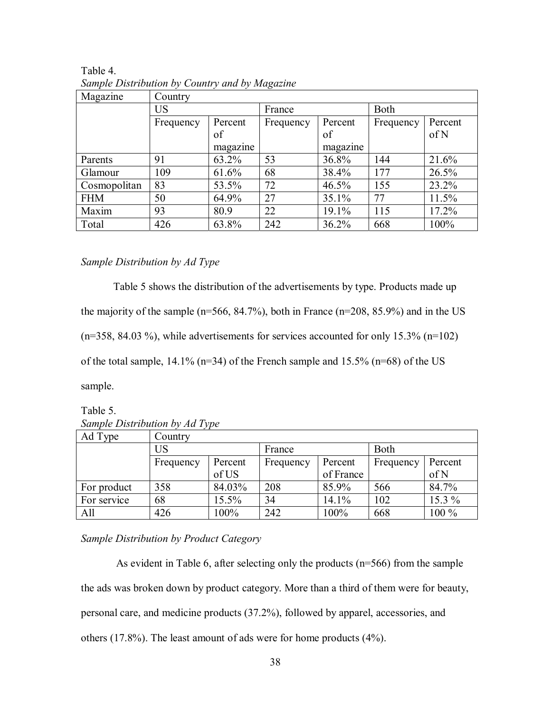| Magazine     | Country              |          |           |          |           |         |
|--------------|----------------------|----------|-----------|----------|-----------|---------|
|              | US                   |          | France    |          | Both      |         |
|              | Percent<br>Frequency |          | Frequency | Percent  | Frequency | Percent |
|              |                      | of       |           | of       |           | of N    |
|              |                      | magazine |           | magazine |           |         |
| Parents      | 91                   | 63.2%    | 53        | 36.8%    | 144       | 21.6%   |
| Glamour      | 109                  | 61.6%    | 68        | 38.4%    | 177       | 26.5%   |
| Cosmopolitan | 83                   | 53.5%    | 72        | 46.5%    | 155       | 23.2%   |
| <b>FHM</b>   | 50                   | 64.9%    | 27        | 35.1%    | 77        | 11.5%   |
| Maxim        | 93                   | 80.9     | 22        | 19.1%    | 115       | 17.2%   |
| Total        | 426                  | 63.8%    | 242       | 36.2%    | 668       | 100%    |

Table 4. *Sample Distribution by Country and by Magazine* 

#### *Sample Distribution by Ad Type*

Table 5 shows the distribution of the advertisements by type. Products made up the majority of the sample (n=566, 84.7%), both in France (n=208, 85.9%) and in the US  $(n=358, 84.03 \%)$ , while advertisements for services accounted for only 15.3%  $(n=102)$ of the total sample,  $14.1\%$  (n=34) of the French sample and  $15.5\%$  (n=68) of the US sample.

Table 5. *Sample Distribution by Ad Type* 

| Ad Type     | Country   |         |           |           |             |          |
|-------------|-----------|---------|-----------|-----------|-------------|----------|
|             | US        |         | France    |           | <b>Both</b> |          |
|             | Frequency | Percent | Frequency | Percent   | Frequency   | Percent  |
|             |           | of US   |           | of France |             | of N     |
| For product | 358       | 84.03%  | 208       | 85.9%     | 566         | 84.7%    |
| For service | 68        | 15.5%   | 34        | 14.1%     | 102         | $15.3\%$ |
| All         | 426       | 100%    | 242       | 100%      | 668         | 100 %    |

*Sample Distribution by Product Category* 

 As evident in Table 6, after selecting only the products (n=566) from the sample the ads was broken down by product category. More than a third of them were for beauty, personal care, and medicine products (37.2%), followed by apparel, accessories, and others (17.8%). The least amount of ads were for home products (4%).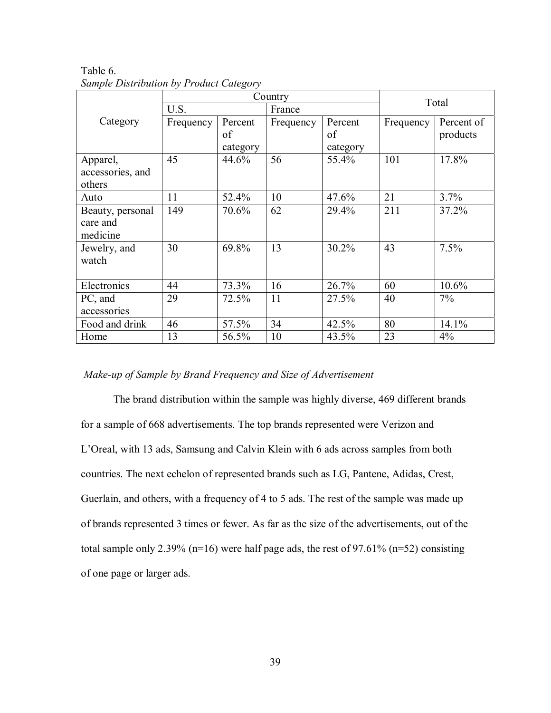|                  |           | Country  |           | Total    |           |            |
|------------------|-----------|----------|-----------|----------|-----------|------------|
|                  | U.S.      |          | France    |          |           |            |
| Category         | Frequency | Percent  | Frequency | Percent  | Frequency | Percent of |
|                  |           | of       |           | of       |           | products   |
|                  |           | category |           | category |           |            |
| Apparel,         | 45        | 44.6%    | 56        | 55.4%    | 101       | 17.8%      |
| accessories, and |           |          |           |          |           |            |
| others           |           |          |           |          |           |            |
| Auto             | 11        | 52.4%    | 10        | 47.6%    | 21        | 3.7%       |
| Beauty, personal | 149       | 70.6%    | 62        | 29.4%    | 211       | 37.2%      |
| care and         |           |          |           |          |           |            |
| medicine         |           |          |           |          |           |            |
| Jewelry, and     | 30        | 69.8%    | 13        | 30.2%    | 43        | 7.5%       |
| watch            |           |          |           |          |           |            |
|                  |           |          |           |          |           |            |
| Electronics      | 44        | 73.3%    | 16        | 26.7%    | 60        | 10.6%      |
| PC, and          | 29        | 72.5%    | 11        | 27.5%    | 40        | 7%         |
| accessories      |           |          |           |          |           |            |
| Food and drink   | 46        | 57.5%    | 34        | 42.5%    | 80        | 14.1%      |
| Home             | 13        | 56.5%    | 10        | 43.5%    | 23        | 4%         |

Table 6. *Sample Distribution by Product Category* 

#### *Make-up of Sample by Brand Frequency and Size of Advertisement*

 The brand distribution within the sample was highly diverse, 469 different brands for a sample of 668 advertisements. The top brands represented were Verizon and L'Oreal, with 13 ads, Samsung and Calvin Klein with 6 ads across samples from both countries. The next echelon of represented brands such as LG, Pantene, Adidas, Crest, Guerlain, and others, with a frequency of 4 to 5 ads. The rest of the sample was made up of brands represented 3 times or fewer. As far as the size of the advertisements, out of the total sample only 2.39% ( $n=16$ ) were half page ads, the rest of 97.61% ( $n=52$ ) consisting of one page or larger ads.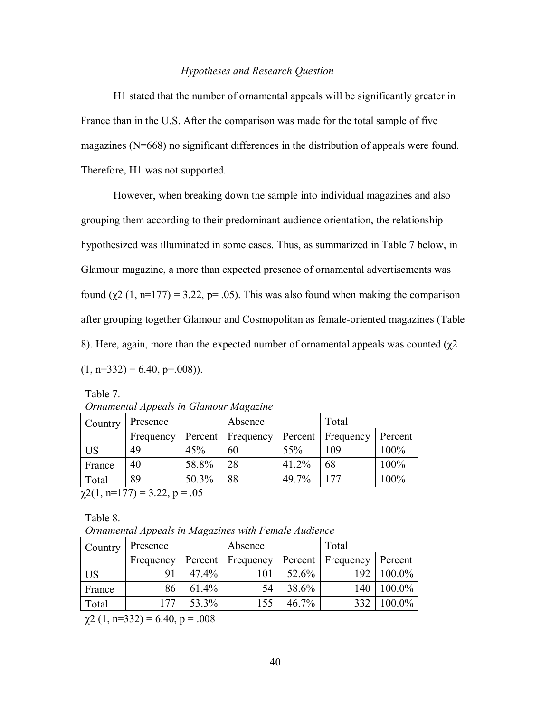#### *Hypotheses and Research Question*

 H1 stated that the number of ornamental appeals will be significantly greater in France than in the U.S. After the comparison was made for the total sample of five magazines (N=668) no significant differences in the distribution of appeals were found. Therefore, H1 was not supported.

 However, when breaking down the sample into individual magazines and also grouping them according to their predominant audience orientation, the relationship hypothesized was illuminated in some cases. Thus, as summarized in Table 7 below, in Glamour magazine, a more than expected presence of ornamental advertisements was found (χ2 (1, n=177) = 3.22, p= .05). This was also found when making the comparison after grouping together Glamour and Cosmopolitan as female-oriented magazines (Table 8). Here, again, more than the expected number of ornamental appeals was counted  $(χ2)$  $(1, n=332) = 6.40, p=.008)$ .

Table 7. *Ornamental Appeals in Glamour Magazine* 

| Presence  |         | Absence   |         | Total     |         |
|-----------|---------|-----------|---------|-----------|---------|
| Frequency | Percent | Frequency | Percent | Frequency | Percent |
| 49        | 45%     | 60        | 55%     | 109       | 100%    |
| 40        | 58.8%   | 28        | 41.2%   | 68        | 100%    |
| 89        | 50.3%   | 88        | 49.7%   | 177       | 100%    |
|           |         |           |         |           |         |

 $\chi$ 2(1, n=177) = 3.22, p = .05

Table 8.

*Ornamental Appeals in Magazines with Female Audience* 

| Country   | Presence  |       | Absence             |         | Total            |         |
|-----------|-----------|-------|---------------------|---------|------------------|---------|
|           | Frequency |       | Percent   Frequency | Percent | <b>Frequency</b> | Percent |
| <b>US</b> | 91        | 47.4% | 101                 | 52.6%   | 192              | 100.0%  |
| France    | 86        | 61.4% | 54                  | 38.6%   | 140              | 100.0%  |
| Total     | 177       | 53.3% | 155                 | 46.7%   | 332              | 100.0%  |

 $\chi$ 2 (1, n=332) = 6.40, p = .008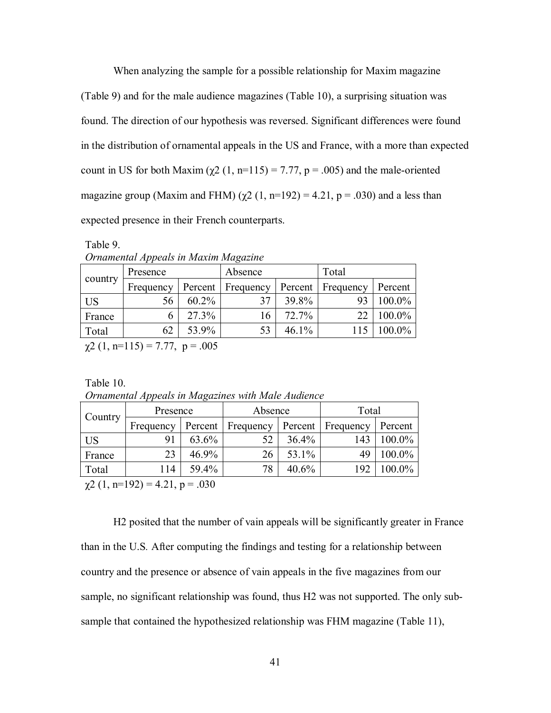When analyzing the sample for a possible relationship for Maxim magazine (Table 9) and for the male audience magazines (Table 10), a surprising situation was found. The direction of our hypothesis was reversed. Significant differences were found in the distribution of ornamental appeals in the US and France, with a more than expected count in US for both Maxim ( $χ2$  (1, n=115) = 7.77, p = .005) and the male-oriented magazine group (Maxim and FHM) ( $\chi$ 2 (1, n=192) = 4.21, p = .030) and a less than expected presence in their French counterparts.

Table 9.

| Ornamental Appeals in Maxim Magazine |  |
|--------------------------------------|--|
|                                      |  |

| country   | Presence                    |          | Absence           |       | Total               |         |
|-----------|-----------------------------|----------|-------------------|-------|---------------------|---------|
|           | Frequency                   |          | Percent Frequency |       | Percent   Frequency | Percent |
| <b>US</b> | 56                          | $60.2\%$ | 37                | 39.8% | 93                  | 100.0%  |
| France    |                             | $27.3\%$ | 16                | 72.7% | 22                  | 100.0%  |
| Total     | 62                          | 53.9%    | 53                | 46.1% | 115                 | 100.0%  |
|           | $-2(1 - 115) - 777 = -0.05$ |          |                   |       |                     |         |

 $\chi$ 2 (1, n=115) = 7.77, p = .005

Table 10.

*Ornamental Appeals in Magazines with Male Audience* 

| Country | Presence  |          | Absence   |       | Total               |           |
|---------|-----------|----------|-----------|-------|---------------------|-----------|
|         | Frequency | Percent  | Frequency |       | Percent   Frequency | Percent   |
| US      | 91        | 63.6%    | 52        | 36.4% | 143                 | 100.0%    |
| France  | 23        | $46.9\%$ | 26        | 53.1% | 49                  | 100.0%    |
| Total   | 114       | 59.4%    | 78        | 40.6% | 192                 | $100.0\%$ |

 $\chi$ 2 (1, n=192) = 4.21, p = .030

H2 posited that the number of vain appeals will be significantly greater in France than in the U.S*.* After computing the findings and testing for a relationship between country and the presence or absence of vain appeals in the five magazines from our sample, no significant relationship was found, thus H2 was not supported. The only subsample that contained the hypothesized relationship was FHM magazine (Table 11),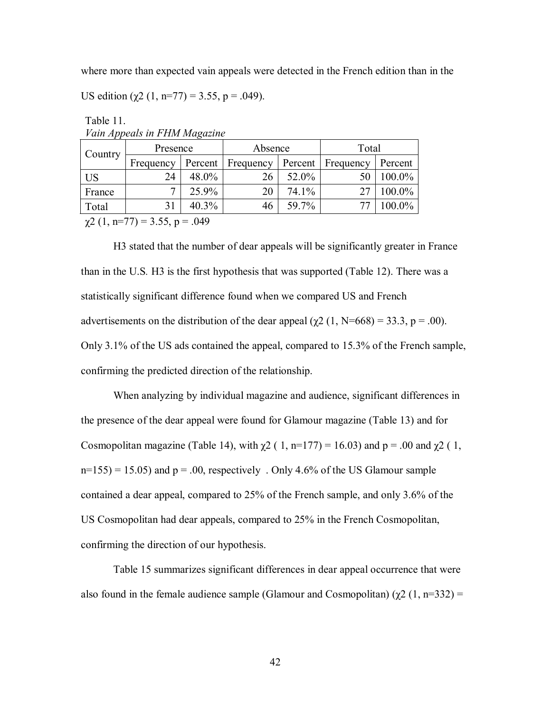where more than expected vain appeals were detected in the French edition than in the

US edition  $(\chi^2 (1, n=77) = 3.55, p = .049)$ .

| <b>Country</b>  | Presence                 |         | Absence   |       | Total             |         |  |  |
|-----------------|--------------------------|---------|-----------|-------|-------------------|---------|--|--|
|                 | Frequency                | Percent | Frequency |       | Percent Frequency | Percent |  |  |
| <sup>I</sup> US | 24                       | 48.0%   | 26        | 52.0% | 50                | 100.0%  |  |  |
| France          | ~                        | 25.9%   | 20        | 74.1% |                   | 100.0%  |  |  |
| Total           |                          | 40.3%   | 46        | 59.7% |                   | 100.0%  |  |  |
|                 | $2(1 - 77)$ $255$ $0.40$ |         |           |       |                   |         |  |  |

Table 11. *Vain Appeals in FHM Magazine* 

 $\chi$ 2 (1, n=77) = 3.55, p = .049

H3 stated that the number of dear appeals will be significantly greater in France than in the U.S*.* H3 is the first hypothesis that was supported (Table 12). There was a statistically significant difference found when we compared US and French advertisements on the distribution of the dear appeal ( $\chi$ 2 (1, N=668) = 33.3, p = .00). Only 3.1% of the US ads contained the appeal, compared to 15.3% of the French sample, confirming the predicted direction of the relationship.

 When analyzing by individual magazine and audience, significant differences in the presence of the dear appeal were found for Glamour magazine (Table 13) and for Cosmopolitan magazine (Table 14), with  $\chi$ 2 ( 1, n=177) = 16.03) and p = .00 and  $\chi$ 2 ( 1,  $n=155$ ) = 15.05) and  $p = 0.00$ , respectively . Only 4.6% of the US Glamour sample contained a dear appeal, compared to 25% of the French sample, and only 3.6% of the US Cosmopolitan had dear appeals, compared to 25% in the French Cosmopolitan, confirming the direction of our hypothesis.

 Table 15 summarizes significant differences in dear appeal occurrence that were also found in the female audience sample (Glamour and Cosmopolitan)  $(\gamma 2 (1, n=332))$  =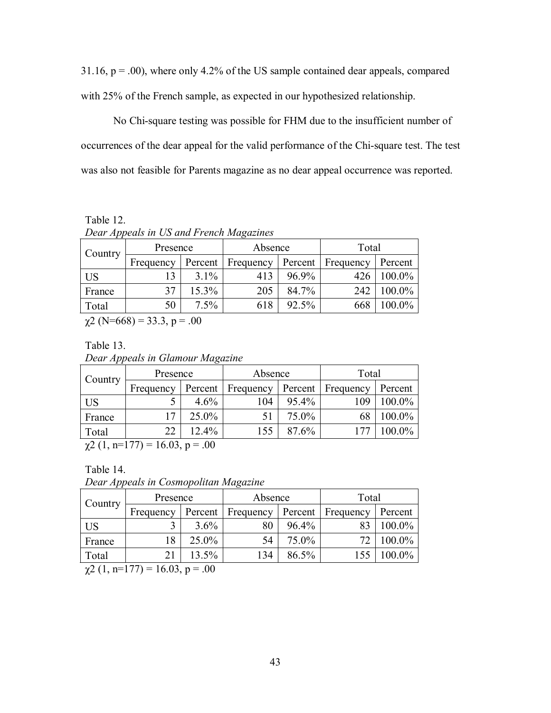$31.16$ ,  $p = .00$ ), where only 4.2% of the US sample contained dear appeals, compared with 25% of the French sample, as expected in our hypothesized relationship.

 No Chi-square testing was possible for FHM due to the insufficient number of occurrences of the dear appeal for the valid performance of the Chi-square test. The test was also not feasible for Parents magazine as no dear appeal occurrence was reported.

Table 12. *Dear Appeals in US and French Magazines* 

| Country                                        | Presence  |          | Absence   |         | Total     |         |
|------------------------------------------------|-----------|----------|-----------|---------|-----------|---------|
|                                                | Frequency | Percent  | Frequency | Percent | Frequency | Percent |
| <b>US</b>                                      |           | $3.1\%$  | 413       | 96.9%   | 426       | 100.0%  |
| France                                         | 37        | 15.3%    | 205       | 84.7%   | 242       | 100.0%  |
| Total                                          | 50        | $7.5\%$  | 618       | 92.5%   | 668       | 100.0%  |
| $\bigcap$ $\bigcap$ $\bigcap$<br>$\sim$ $\sim$ |           | $\Omega$ |           |         |           |         |

 $\chi$ 2 (N=668) = 33.3, p = .00

Table 13.

*Dear Appeals in Glamour Magazine* 

| Country       | Presence                                       |          | Absence           |       |                   | Total     |  |  |  |
|---------------|------------------------------------------------|----------|-------------------|-------|-------------------|-----------|--|--|--|
|               | Frequency                                      |          | Percent Frequency |       | Percent Frequency | Percent   |  |  |  |
| US            |                                                | $4.6\%$  | 104               | 95.4% | 109               | 100.0%    |  |  |  |
| France        | 17                                             | $25.0\%$ |                   | 75.0% |                   | 100.0%    |  |  |  |
| Total         | 22                                             | 12.4%    | 155               | 87.6% |                   | $100.0\%$ |  |  |  |
| $\sim$ $\sim$ | $\sim$ $\sim$<br>$- -$<br>$\sim$ $\sim$ $\sim$ |          |                   |       |                   |           |  |  |  |

 $\chi$ 2 (1, n=177) = 16.03, p = .00

Table 14.

*Dear Appeals in Cosmopolitan Magazine* 

| <b>Country</b> | Presence  |         | Absence   |         | Total     |           |
|----------------|-----------|---------|-----------|---------|-----------|-----------|
|                | Frequency | Percent | Frequency | Percent | Frequency | Percent   |
| US             |           | $3.6\%$ | 80        | 96.4%   | 83        | 100.0%    |
| France         | 18        | 25.0%   | 54        | 75.0%   |           | 100.0%    |
| Total          |           | 13.5%   | 134       | 86.5%   | 155       | $100.0\%$ |

 $\chi$ 2 (1, n=177) = 16.03, p = .00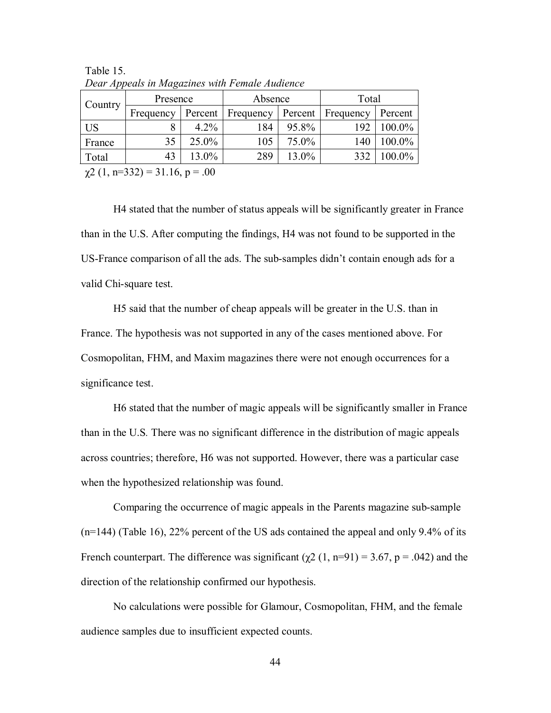|         | Dean <i>Tippedin in Magazines man I chance Haddonee</i> |          |           |         |           |         |  |  |  |
|---------|---------------------------------------------------------|----------|-----------|---------|-----------|---------|--|--|--|
| Country | Presence                                                |          | Absence   |         | Total     |         |  |  |  |
|         | Frequency                                               | Percent  | Frequency | Percent | Frequency | Percent |  |  |  |
| US      | 8                                                       | $4.2\%$  | 184       | 95.8%   | 192       | 100.0%  |  |  |  |
| France  | 35                                                      | $25.0\%$ | 105       | 75.0%   | 140       | 100.0%  |  |  |  |
| Total   | 43                                                      | 13.0%    | 289       | 13.0%   | 332       | 100.0%  |  |  |  |
|         | $\chi$ 2 (1, n=332) = 31.16, p = .00                    |          |           |         |           |         |  |  |  |

Table 15. *Dear Appeals in Magazines with Female Audience* 

H4 stated that the number of status appeals will be significantly greater in France than in the U.S. After computing the findings, H4 was not found to be supported in the US-France comparison of all the ads. The sub-samples didn't contain enough ads for a valid Chi-square test.

H5 said that the number of cheap appeals will be greater in the U.S. than in France. The hypothesis was not supported in any of the cases mentioned above. For Cosmopolitan, FHM, and Maxim magazines there were not enough occurrences for a significance test.

 H6 stated that the number of magic appeals will be significantly smaller in France than in the U.S*.* There was no significant difference in the distribution of magic appeals across countries; therefore, H6 was not supported. However, there was a particular case when the hypothesized relationship was found.

 Comparing the occurrence of magic appeals in the Parents magazine sub-sample (n=144) (Table 16), 22% percent of the US ads contained the appeal and only 9.4% of its French counterpart. The difference was significant  $(\chi^2 (1, n=91) = 3.67, p = .042)$  and the direction of the relationship confirmed our hypothesis.

 No calculations were possible for Glamour, Cosmopolitan, FHM, and the female audience samples due to insufficient expected counts.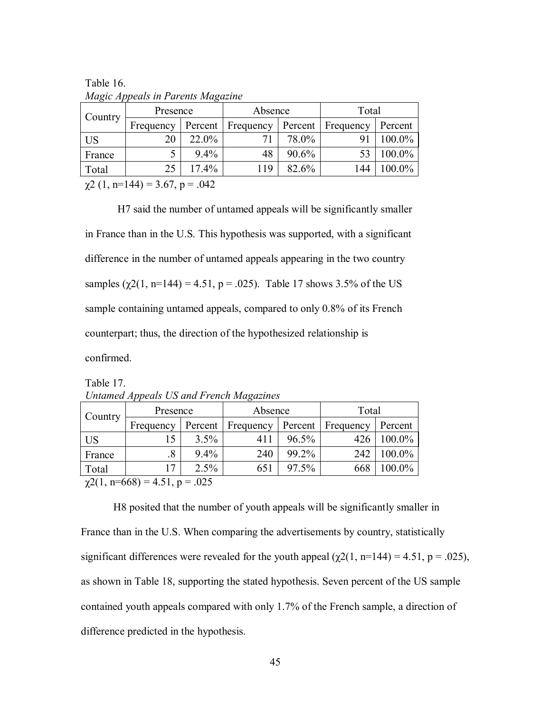| Country   | Presence                             |          | Absence   |         |           | Total   |  |  |  |
|-----------|--------------------------------------|----------|-----------|---------|-----------|---------|--|--|--|
|           | Frequency                            | Percent  | Frequency | Percent | Frequency | Percent |  |  |  |
| <b>US</b> | 20                                   | 22.0%    | 71        | 78.0%   | 91        | 100.0%  |  |  |  |
| France    |                                      | $9.4\%$  | 48        | 90.6%   |           | 100.0%  |  |  |  |
| Total     | 25                                   | $17.4\%$ | 119       | 82.6%   | 144       | 100.0%  |  |  |  |
|           | $\chi$ 2 (1, n=144) = 3.67, p = .042 |          |           |         |           |         |  |  |  |

Table 16. *Magic Appeals in Parents Magazine* 

 H7 said the number of untamed appeals will be significantly smaller in France than in the U.S*.* This hypothesis was supported, with a significant difference in the number of untamed appeals appearing in the two country samples  $(\gamma 2(1, n=144) = 4.51, p = .025)$ . Table 17 shows 3.5% of the US sample containing untamed appeals, compared to only 0.8% of its French counterpart; thus, the direction of the hypothesized relationship is confirmed.

Table 17. *Untamed Appeals US and French Magazines* 

| Country | Presence          |         | Absence   |         | Total     |           |
|---------|-------------------|---------|-----------|---------|-----------|-----------|
|         | Frequency         | Percent | Frequency | Percent | Frequency | Percent   |
| US      | 15                | $3.5\%$ | 411       | 96.5%   | 426       | 100.0%    |
| France  | $\boldsymbol{.8}$ | $9.4\%$ | 240       | 99.2%   | 242       | 100.0%    |
| Total   | 17                | $2.5\%$ | 651       | 97.5%   | 668       | $100.0\%$ |
| - - - - |                   |         |           |         |           |           |

 $\chi$ 2(1, n=668) = 4.51, p = .025

H8 posited that the number of youth appeals will be significantly smaller in France than in the U.S. When comparing the advertisements by country, statistically significant differences were revealed for the youth appeal ( $\chi$ 2(1, n=144) = 4.51, p = .025), as shown in Table 18, supporting the stated hypothesis. Seven percent of the US sample contained youth appeals compared with only 1.7% of the French sample, a direction of difference predicted in the hypothesis.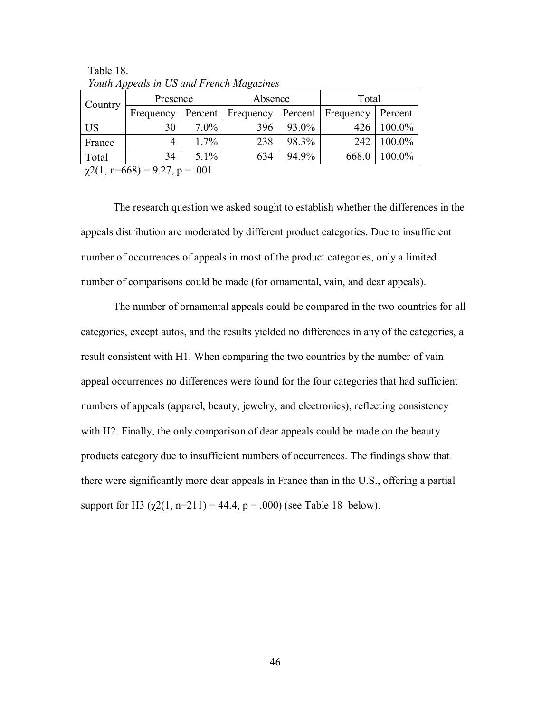| Country                             | Presence       |         | Absence   |         | Total     |         |
|-------------------------------------|----------------|---------|-----------|---------|-----------|---------|
|                                     | Frequency      | Percent | Frequency | Percent | Frequency | Percent |
| <b>US</b>                           | 30             | $7.0\%$ | 396       | 93.0%   | 426       | 100.0%  |
| France                              | $\overline{4}$ | $1.7\%$ | 238       | 98.3%   | 242       | 100.0%  |
| Total                               | 34             | $5.1\%$ | 634       | 94.9%   | 668.0     | 100.0%  |
| $\chi$ 2(1, n=668) = 9.27, p = .001 |                |         |           |         |           |         |

 Table 18. *Youth Appeals in US and French Magazines* 

 The research question we asked sought to establish whether the differences in the appeals distribution are moderated by different product categories. Due to insufficient number of occurrences of appeals in most of the product categories, only a limited number of comparisons could be made (for ornamental, vain, and dear appeals).

 The number of ornamental appeals could be compared in the two countries for all categories, except autos, and the results yielded no differences in any of the categories, a result consistent with H1. When comparing the two countries by the number of vain appeal occurrences no differences were found for the four categories that had sufficient numbers of appeals (apparel, beauty, jewelry, and electronics), reflecting consistency with H2. Finally, the only comparison of dear appeals could be made on the beauty products category due to insufficient numbers of occurrences. The findings show that there were significantly more dear appeals in France than in the U.S., offering a partial support for H3 ( $\gamma$ 2(1, n=211) = 44.4, p = .000) (see Table 18 below).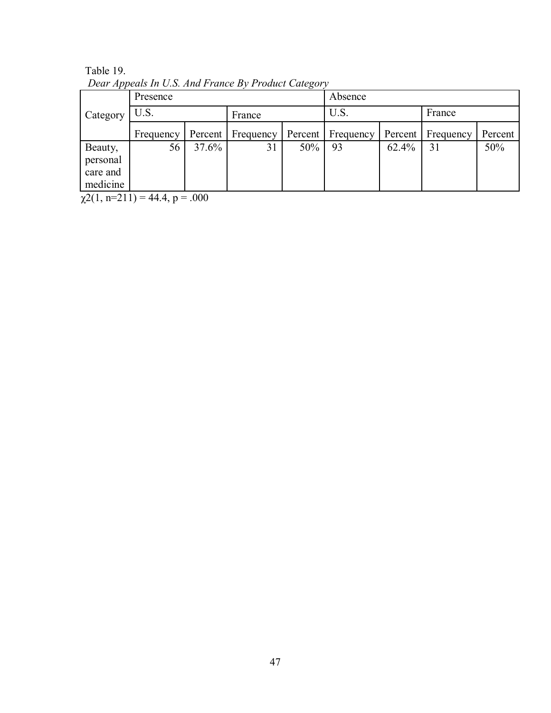|          | Presence  |          |                   |         | Absence   |          |           |         |  |
|----------|-----------|----------|-------------------|---------|-----------|----------|-----------|---------|--|
| Category | U.S.      |          |                   | France  |           | U.S.     |           | France  |  |
|          | Frequency |          | Percent Frequency | Percent | Frequency | Percent  | Frequency | Percent |  |
| Beauty,  | 56        | $37.6\%$ | 31                | 50%     | 93        | $62.4\%$ | 31        | 50%     |  |
| personal |           |          |                   |         |           |          |           |         |  |
| care and |           |          |                   |         |           |          |           |         |  |
| medicine |           |          |                   |         |           |          |           |         |  |

Table 19. *Dear Appeals In U.S. And France By Product Category* 

 $\chi(2(1, n=211)) = 44.4, p = .000$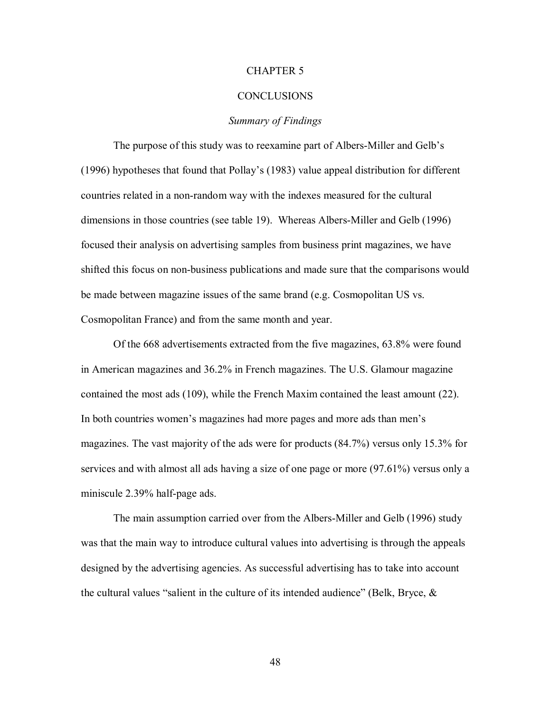#### CHAPTER 5

#### **CONCLUSIONS**

#### *Summary of Findings*

 The purpose of this study was to reexamine part of Albers-Miller and Gelb's (1996) hypotheses that found that Pollay's (1983) value appeal distribution for different countries related in a non-random way with the indexes measured for the cultural dimensions in those countries (see table 19). Whereas Albers-Miller and Gelb (1996) focused their analysis on advertising samples from business print magazines, we have shifted this focus on non-business publications and made sure that the comparisons would be made between magazine issues of the same brand (e.g. Cosmopolitan US vs. Cosmopolitan France) and from the same month and year.

 Of the 668 advertisements extracted from the five magazines, 63.8% were found in American magazines and 36.2% in French magazines. The U.S. Glamour magazine contained the most ads (109), while the French Maxim contained the least amount (22). In both countries women's magazines had more pages and more ads than men's magazines. The vast majority of the ads were for products (84.7%) versus only 15.3% for services and with almost all ads having a size of one page or more (97.61%) versus only a miniscule 2.39% half-page ads.

 The main assumption carried over from the Albers-Miller and Gelb (1996) study was that the main way to introduce cultural values into advertising is through the appeals designed by the advertising agencies. As successful advertising has to take into account the cultural values "salient in the culture of its intended audience" (Belk, Bryce, &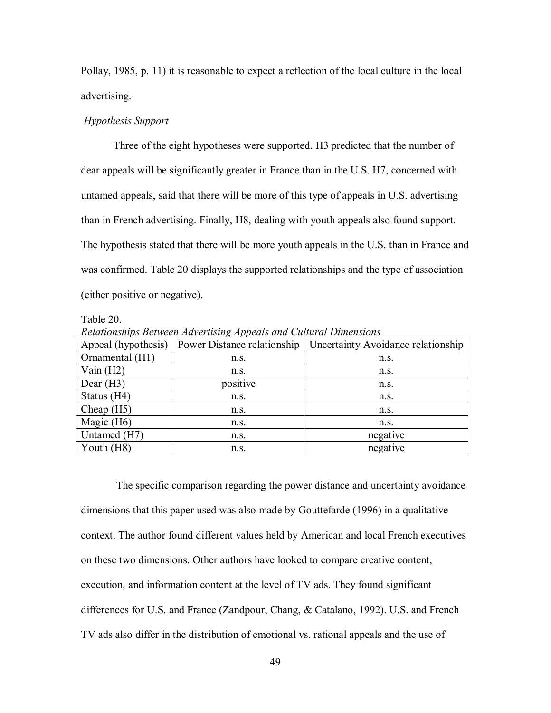Pollay, 1985, p. 11) it is reasonable to expect a reflection of the local culture in the local advertising.

#### *Hypothesis Support*

 Three of the eight hypotheses were supported. H3 predicted that the number of dear appeals will be significantly greater in France than in the U.S. H7, concerned with untamed appeals, said that there will be more of this type of appeals in U.S. advertising than in French advertising. Finally, H8, dealing with youth appeals also found support. The hypothesis stated that there will be more youth appeals in the U.S. than in France and was confirmed. Table 20 displays the supported relationships and the type of association (either positive or negative).

#### Table 20.

*Relationships Between Advertising Appeals and Cultural Dimensions* 

| Appeal (hypothesis) | Power Distance relationship | Uncertainty Avoidance relationship |  |
|---------------------|-----------------------------|------------------------------------|--|
| Ornamental (H1)     | n.S.                        | $n_{\rm s}$ .                      |  |
| Vain $(H2)$         | n.S.                        | n.S.                               |  |
| Dear $(H3)$         | positive                    | n.S.                               |  |
| Status (H4)         | n.S.                        | n.S.                               |  |
| Cheap $(H5)$        | n.s.                        | n.S.                               |  |
| Magic (H6)          | n.s.                        | n.s.                               |  |
| Untamed (H7)        | n.S.                        | negative                           |  |
| Youth $(H8)$        | n.S.                        | negative                           |  |

 The specific comparison regarding the power distance and uncertainty avoidance dimensions that this paper used was also made by Gouttefarde (1996) in a qualitative context. The author found different values held by American and local French executives on these two dimensions. Other authors have looked to compare creative content, execution, and information content at the level of TV ads. They found significant differences for U.S. and France (Zandpour, Chang, & Catalano, 1992). U.S. and French TV ads also differ in the distribution of emotional vs. rational appeals and the use of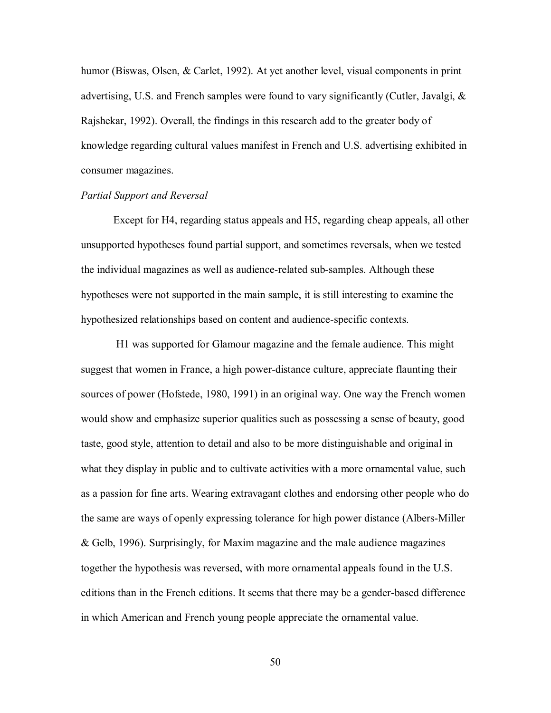humor (Biswas, Olsen, & Carlet, 1992). At yet another level, visual components in print advertising, U.S. and French samples were found to vary significantly (Cutler, Javalgi, & Rajshekar, 1992). Overall, the findings in this research add to the greater body of knowledge regarding cultural values manifest in French and U.S. advertising exhibited in consumer magazines.

#### *Partial Support and Reversal*

 Except for H4, regarding status appeals and H5, regarding cheap appeals, all other unsupported hypotheses found partial support, and sometimes reversals, when we tested the individual magazines as well as audience-related sub-samples. Although these hypotheses were not supported in the main sample, it is still interesting to examine the hypothesized relationships based on content and audience-specific contexts.

 H1 was supported for Glamour magazine and the female audience. This might suggest that women in France, a high power-distance culture, appreciate flaunting their sources of power (Hofstede, 1980, 1991) in an original way. One way the French women would show and emphasize superior qualities such as possessing a sense of beauty, good taste, good style, attention to detail and also to be more distinguishable and original in what they display in public and to cultivate activities with a more ornamental value, such as a passion for fine arts. Wearing extravagant clothes and endorsing other people who do the same are ways of openly expressing tolerance for high power distance (Albers-Miller & Gelb, 1996). Surprisingly, for Maxim magazine and the male audience magazines together the hypothesis was reversed, with more ornamental appeals found in the U.S. editions than in the French editions. It seems that there may be a gender-based difference in which American and French young people appreciate the ornamental value.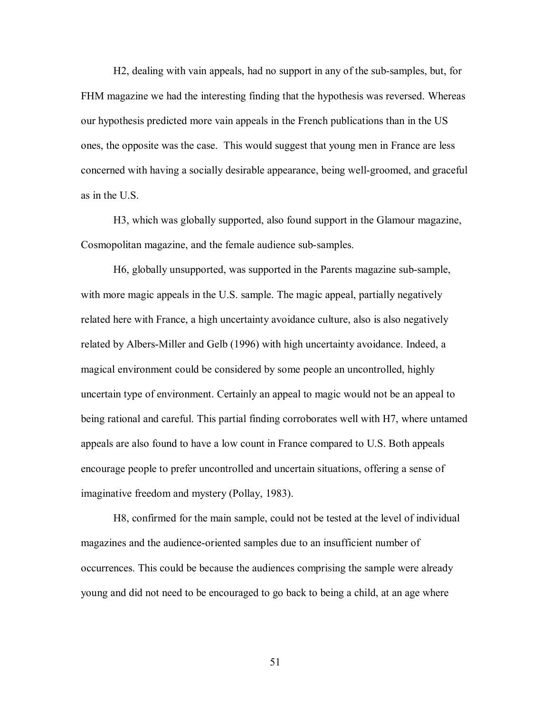H2, dealing with vain appeals, had no support in any of the sub-samples, but, for FHM magazine we had the interesting finding that the hypothesis was reversed. Whereas our hypothesis predicted more vain appeals in the French publications than in the US ones, the opposite was the case. This would suggest that young men in France are less concerned with having a socially desirable appearance, being well-groomed, and graceful as in the U.S.

 H3, which was globally supported, also found support in the Glamour magazine, Cosmopolitan magazine, and the female audience sub-samples.

 H6, globally unsupported, was supported in the Parents magazine sub-sample, with more magic appeals in the U.S. sample. The magic appeal, partially negatively related here with France, a high uncertainty avoidance culture, also is also negatively related by Albers-Miller and Gelb (1996) with high uncertainty avoidance. Indeed, a magical environment could be considered by some people an uncontrolled, highly uncertain type of environment. Certainly an appeal to magic would not be an appeal to being rational and careful. This partial finding corroborates well with H7, where untamed appeals are also found to have a low count in France compared to U.S. Both appeals encourage people to prefer uncontrolled and uncertain situations, offering a sense of imaginative freedom and mystery (Pollay, 1983).

 H8, confirmed for the main sample, could not be tested at the level of individual magazines and the audience-oriented samples due to an insufficient number of occurrences. This could be because the audiences comprising the sample were already young and did not need to be encouraged to go back to being a child, at an age where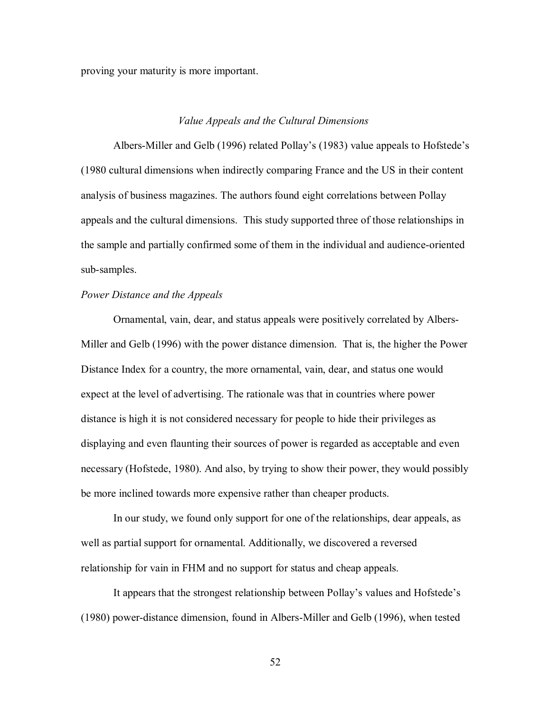proving your maturity is more important.

#### *Value Appeals and the Cultural Dimensions*

 Albers-Miller and Gelb (1996) related Pollay's (1983) value appeals to Hofstede's (1980 cultural dimensions when indirectly comparing France and the US in their content analysis of business magazines. The authors found eight correlations between Pollay appeals and the cultural dimensions. This study supported three of those relationships in the sample and partially confirmed some of them in the individual and audience-oriented sub-samples.

#### *Power Distance and the Appeals*

 Ornamental, vain, dear, and status appeals were positively correlated by Albers-Miller and Gelb (1996) with the power distance dimension. That is, the higher the Power Distance Index for a country, the more ornamental, vain, dear, and status one would expect at the level of advertising. The rationale was that in countries where power distance is high it is not considered necessary for people to hide their privileges as displaying and even flaunting their sources of power is regarded as acceptable and even necessary (Hofstede, 1980). And also, by trying to show their power, they would possibly be more inclined towards more expensive rather than cheaper products.

 In our study, we found only support for one of the relationships, dear appeals, as well as partial support for ornamental. Additionally, we discovered a reversed relationship for vain in FHM and no support for status and cheap appeals.

 It appears that the strongest relationship between Pollay's values and Hofstede's (1980) power-distance dimension, found in Albers-Miller and Gelb (1996), when tested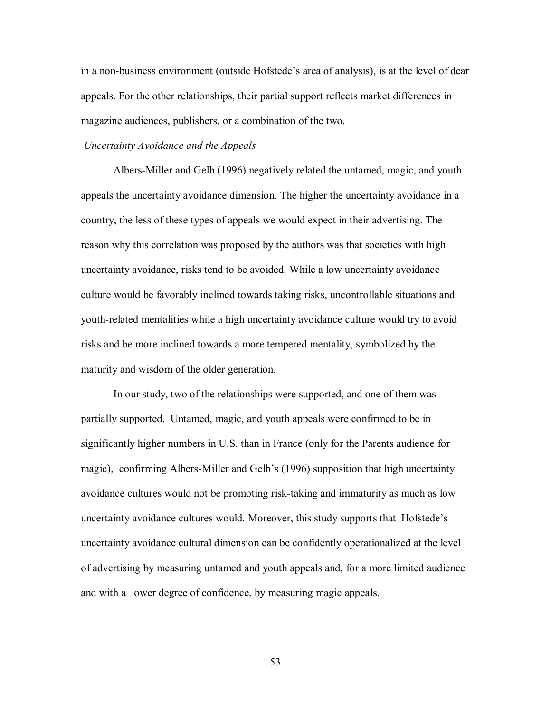in a non-business environment (outside Hofstede's area of analysis), is at the level of dear appeals. For the other relationships, their partial support reflects market differences in magazine audiences, publishers, or a combination of the two.

#### *Uncertainty Avoidance and the Appeals*

 Albers-Miller and Gelb (1996) negatively related the untamed, magic, and youth appeals the uncertainty avoidance dimension. The higher the uncertainty avoidance in a country, the less of these types of appeals we would expect in their advertising. The reason why this correlation was proposed by the authors was that societies with high uncertainty avoidance, risks tend to be avoided. While a low uncertainty avoidance culture would be favorably inclined towards taking risks, uncontrollable situations and youth-related mentalities while a high uncertainty avoidance culture would try to avoid risks and be more inclined towards a more tempered mentality, symbolized by the maturity and wisdom of the older generation.

 In our study, two of the relationships were supported, and one of them was partially supported. Untamed, magic, and youth appeals were confirmed to be in significantly higher numbers in U.S. than in France (only for the Parents audience for magic), confirming Albers-Miller and Gelb's (1996) supposition that high uncertainty avoidance cultures would not be promoting risk-taking and immaturity as much as low uncertainty avoidance cultures would. Moreover, this study supports that Hofstede's uncertainty avoidance cultural dimension can be confidently operationalized at the level of advertising by measuring untamed and youth appeals and, for a more limited audience and with a lower degree of confidence, by measuring magic appeals.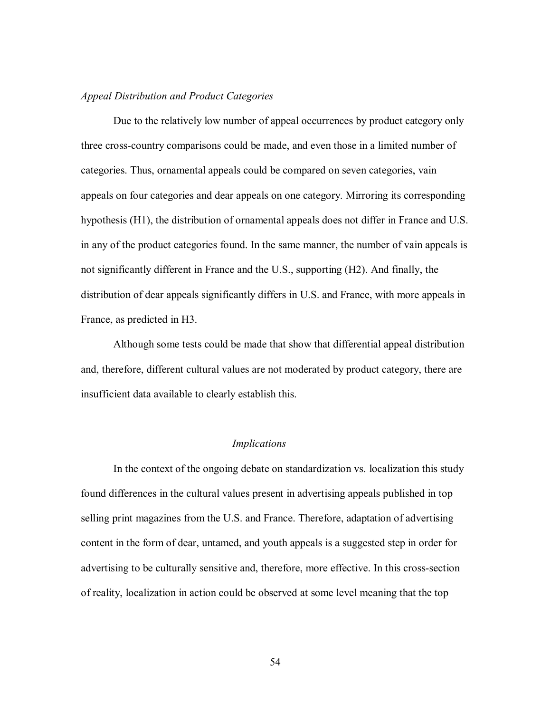#### *Appeal Distribution and Product Categories*

 Due to the relatively low number of appeal occurrences by product category only three cross-country comparisons could be made, and even those in a limited number of categories. Thus, ornamental appeals could be compared on seven categories, vain appeals on four categories and dear appeals on one category. Mirroring its corresponding hypothesis (H1), the distribution of ornamental appeals does not differ in France and U.S. in any of the product categories found. In the same manner, the number of vain appeals is not significantly different in France and the U.S., supporting (H2). And finally, the distribution of dear appeals significantly differs in U.S. and France, with more appeals in France, as predicted in H3.

 Although some tests could be made that show that differential appeal distribution and, therefore, different cultural values are not moderated by product category, there are insufficient data available to clearly establish this.

#### *Implications*

In the context of the ongoing debate on standardization vs. localization this study found differences in the cultural values present in advertising appeals published in top selling print magazines from the U.S. and France. Therefore, adaptation of advertising content in the form of dear, untamed, and youth appeals is a suggested step in order for advertising to be culturally sensitive and, therefore, more effective. In this cross-section of reality, localization in action could be observed at some level meaning that the top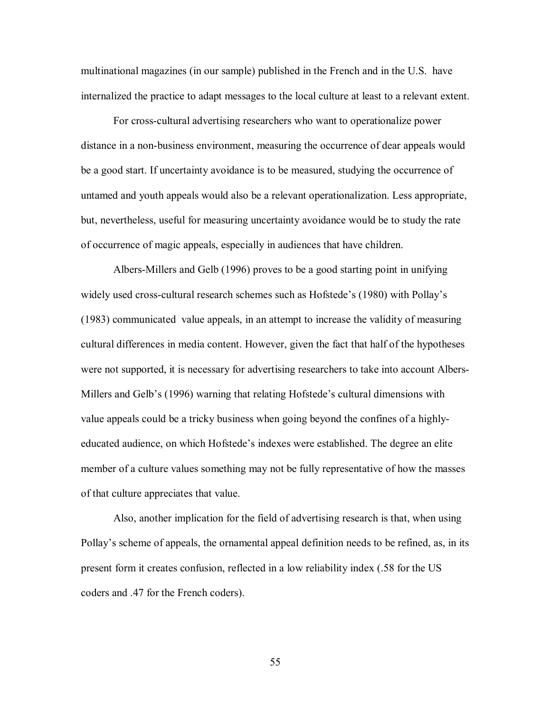multinational magazines (in our sample) published in the French and in the U.S. have internalized the practice to adapt messages to the local culture at least to a relevant extent.

For cross-cultural advertising researchers who want to operationalize power distance in a non-business environment, measuring the occurrence of dear appeals would be a good start. If uncertainty avoidance is to be measured, studying the occurrence of untamed and youth appeals would also be a relevant operationalization. Less appropriate, but, nevertheless, useful for measuring uncertainty avoidance would be to study the rate of occurrence of magic appeals, especially in audiences that have children.

Albers-Millers and Gelb (1996) proves to be a good starting point in unifying widely used cross-cultural research schemes such as Hofstede's (1980) with Pollay's (1983) communicated value appeals, in an attempt to increase the validity of measuring cultural differences in media content. However, given the fact that half of the hypotheses were not supported, it is necessary for advertising researchers to take into account Albers-Millers and Gelb's (1996) warning that relating Hofstede's cultural dimensions with value appeals could be a tricky business when going beyond the confines of a highlyeducated audience, on which Hofstede's indexes were established. The degree an elite member of a culture values something may not be fully representative of how the masses of that culture appreciates that value.

 Also, another implication for the field of advertising research is that, when using Pollay's scheme of appeals, the ornamental appeal definition needs to be refined, as, in its present form it creates confusion, reflected in a low reliability index (.58 for the US coders and .47 for the French coders).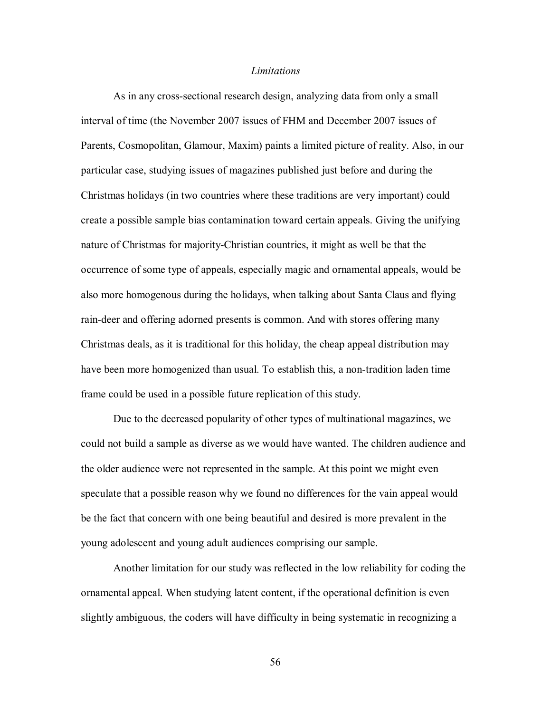#### *Limitations*

 As in any cross-sectional research design, analyzing data from only a small interval of time (the November 2007 issues of FHM and December 2007 issues of Parents, Cosmopolitan, Glamour, Maxim) paints a limited picture of reality. Also, in our particular case, studying issues of magazines published just before and during the Christmas holidays (in two countries where these traditions are very important) could create a possible sample bias contamination toward certain appeals. Giving the unifying nature of Christmas for majority-Christian countries, it might as well be that the occurrence of some type of appeals, especially magic and ornamental appeals, would be also more homogenous during the holidays, when talking about Santa Claus and flying rain-deer and offering adorned presents is common. And with stores offering many Christmas deals, as it is traditional for this holiday, the cheap appeal distribution may have been more homogenized than usual. To establish this, a non-tradition laden time frame could be used in a possible future replication of this study.

 Due to the decreased popularity of other types of multinational magazines, we could not build a sample as diverse as we would have wanted. The children audience and the older audience were not represented in the sample. At this point we might even speculate that a possible reason why we found no differences for the vain appeal would be the fact that concern with one being beautiful and desired is more prevalent in the young adolescent and young adult audiences comprising our sample.

Another limitation for our study was reflected in the low reliability for coding the ornamental appeal. When studying latent content, if the operational definition is even slightly ambiguous, the coders will have difficulty in being systematic in recognizing a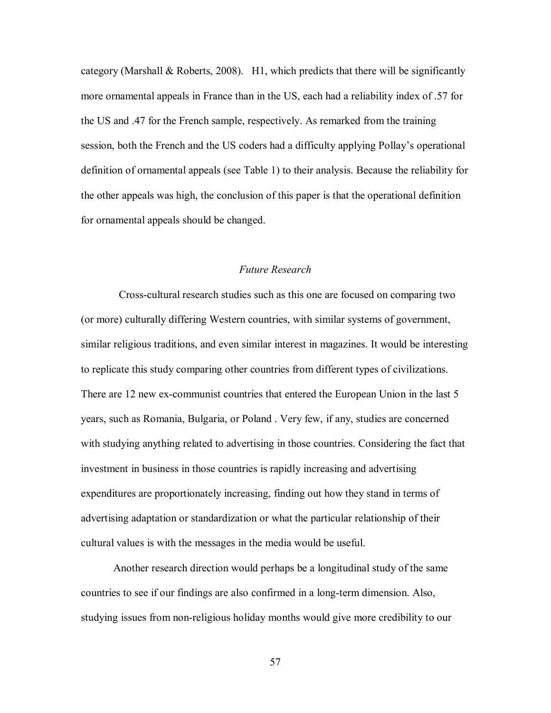category (Marshall  $& Roberts, 2008$ ). H1, which predicts that there will be significantly more ornamental appeals in France than in the US, each had a reliability index of .57 for the US and .47 for the French sample, respectively. As remarked from the training session, both the French and the US coders had a difficulty applying Pollay's operational definition of ornamental appeals (see Table 1) to their analysis. Because the reliability for the other appeals was high, the conclusion of this paper is that the operational definition for ornamental appeals should be changed.

#### *Future Research*

Cross-cultural research studies such as this one are focused on comparing two (or more) culturally differing Western countries, with similar systems of government, similar religious traditions, and even similar interest in magazines. It would be interesting to replicate this study comparing other countries from different types of civilizations. There are 12 new ex-communist countries that entered the European Union in the last 5 years, such as Romania, Bulgaria, or Poland . Very few, if any, studies are concerned with studying anything related to advertising in those countries. Considering the fact that investment in business in those countries is rapidly increasing and advertising expenditures are proportionately increasing, finding out how they stand in terms of advertising adaptation or standardization or what the particular relationship of their cultural values is with the messages in the media would be useful.

 Another research direction would perhaps be a longitudinal study of the same countries to see if our findings are also confirmed in a long-term dimension. Also, studying issues from non-religious holiday months would give more credibility to our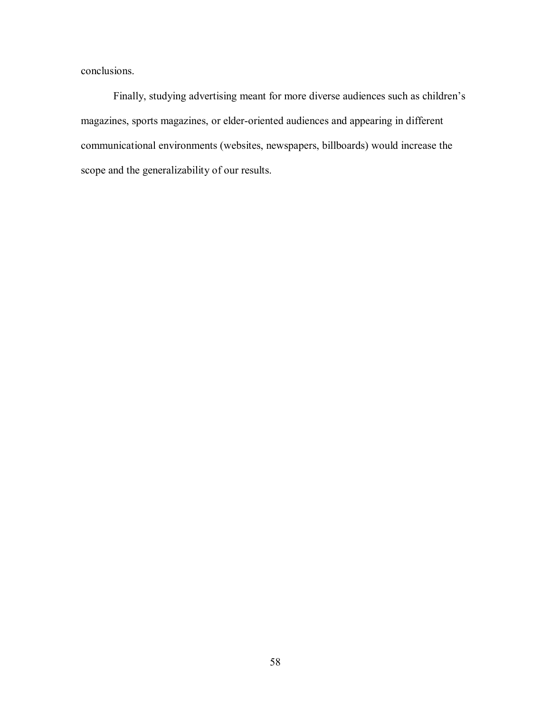conclusions.

 Finally, studying advertising meant for more diverse audiences such as children's magazines, sports magazines, or elder-oriented audiences and appearing in different communicational environments (websites, newspapers, billboards) would increase the scope and the generalizability of our results.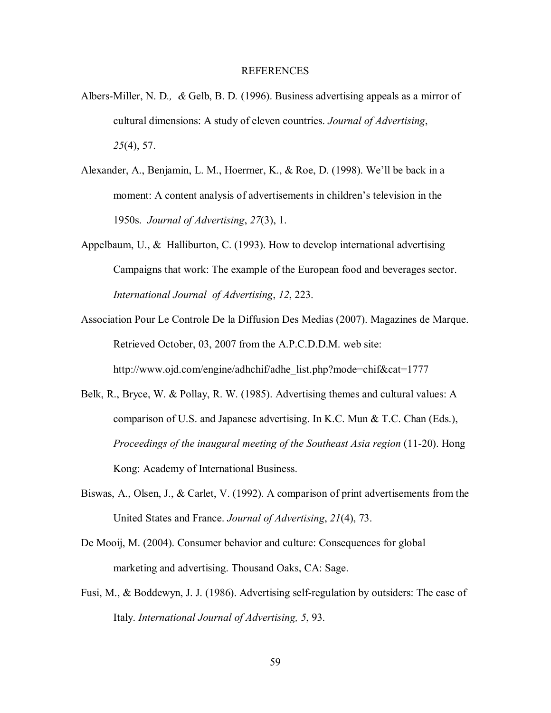#### REFERENCES

- Albers-Miller, N. D*., &* Gelb, B. D*.* (1996). Business advertising appeals as a mirror of cultural dimensions: A study of eleven countries. *Journal of Advertising*, *25*(4), 57.
- Alexander, A., Benjamin, L. M., Hoerrner, K., & Roe, D. (1998). We'll be back in a moment: A content analysis of advertisements in children's television in the 1950s. *Journal of Advertising*, *27*(3), 1.
- Appelbaum, U., & Halliburton, C. (1993). How to develop international advertising Campaigns that work: The example of the European food and beverages sector. *International Journal of Advertising*, *12*, 223.
- Association Pour Le Controle De la Diffusion Des Medias (2007). Magazines de Marque. Retrieved October, 03, 2007 from the A.P.C.D.D.M. web site: http://www.ojd.com/engine/adhchif/adhe\_list.php?mode=chif&cat=1777
- Belk, R., Bryce, W. & Pollay, R. W. (1985). Advertising themes and cultural values: A comparison of U.S. and Japanese advertising. In K.C. Mun  $\&$  T.C. Chan (Eds.), *Proceedings of the inaugural meeting of the Southeast Asia region* (11-20). Hong Kong: Academy of International Business.
- Biswas, A., Olsen, J., & Carlet, V. (1992). A comparison of print advertisements from the United States and France. *Journal of Advertising*, *21*(4), 73.
- De Mooij, M. (2004). Consumer behavior and culture: Consequences for global marketing and advertising. Thousand Oaks, CA: Sage.
- Fusi, M., & Boddewyn, J. J. (1986). Advertising self-regulation by outsiders: The case of Italy. *International Journal of Advertising, 5*, 93.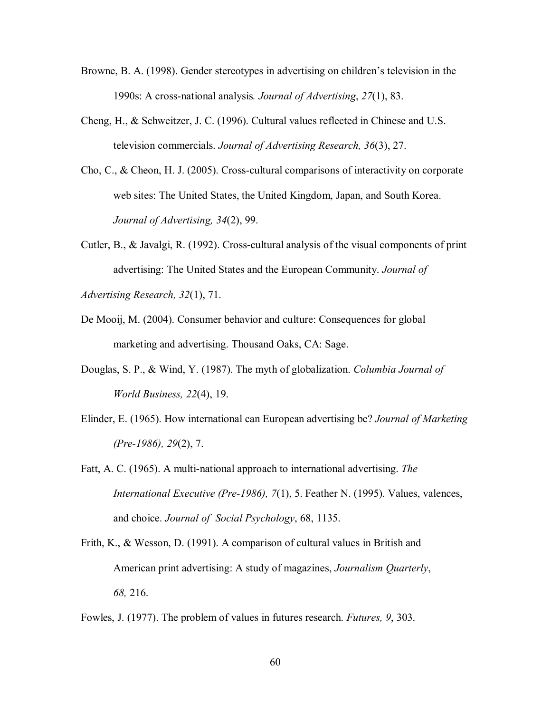- Browne, B. A. (1998). Gender stereotypes in advertising on children's television in the 1990s: A cross-national analysis*. Journal of Advertising*, *27*(1), 83.
- Cheng, H., & Schweitzer, J. C. (1996). Cultural values reflected in Chinese and U.S. television commercials. *Journal of Advertising Research, 36*(3), 27.
- Cho, C., & Cheon, H. J. (2005). Cross-cultural comparisons of interactivity on corporate web sites: The United States, the United Kingdom, Japan, and South Korea. *Journal of Advertising, 34*(2), 99.
- Cutler, B., & Javalgi, R. (1992). Cross-cultural analysis of the visual components of print advertising: The United States and the European Community. *Journal of*

*Advertising Research, 32*(1), 71.

- De Mooij, M. (2004). Consumer behavior and culture: Consequences for global marketing and advertising. Thousand Oaks, CA: Sage.
- Douglas, S. P., & Wind, Y. (1987). The myth of globalization. *Columbia Journal of World Business, 22*(4), 19.
- Elinder, E. (1965). How international can European advertising be? *Journal of Marketing (Pre-1986), 29*(2), 7.
- Fatt, A. C. (1965). A multi-national approach to international advertising. *The International Executive (Pre-1986), 7*(1), 5. Feather N. (1995). Values, valences, and choice. *Journal of Social Psychology*, 68, 1135.
- Frith, K., & Wesson, D. (1991). A comparison of cultural values in British and American print advertising: A study of magazines, *Journalism Quarterly*, *68,* 216.

Fowles, J. (1977). The problem of values in futures research. *Futures, 9*, 303.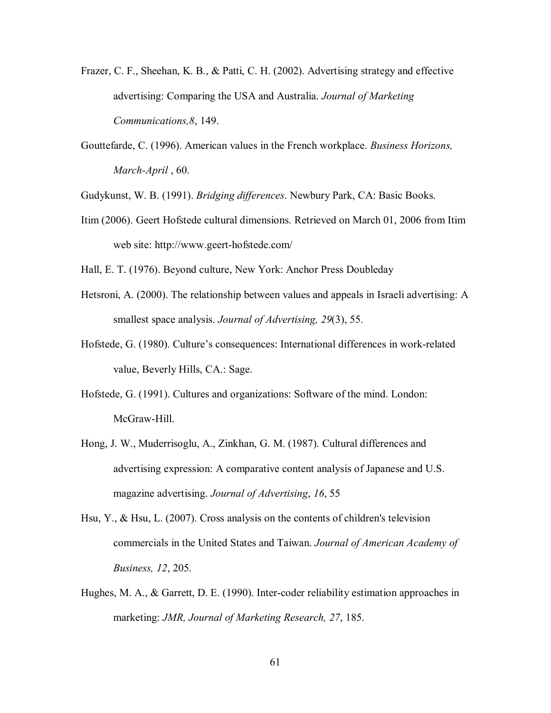- Frazer, C. F., Sheehan, K. B., & Patti, C. H. (2002). Advertising strategy and effective advertising: Comparing the USA and Australia. *Journal of Marketing Communications,8*, 149.
- Gouttefarde, C. (1996). American values in the French workplace. *Business Horizons, March-April* , 60.

Gudykunst, W. B. (1991). *Bridging differences*. Newbury Park, CA: Basic Books.

- Itim (2006). Geert Hofstede cultural dimensions. Retrieved on March 01, 2006 from Itim web site: http://www.geert-hofstede.com/
- Hall, E. T. (1976). Beyond culture, New York: Anchor Press Doubleday
- Hetsroni, A. (2000). The relationship between values and appeals in Israeli advertising: A smallest space analysis. *Journal of Advertising, 29*(3), 55.
- Hofstede, G. (1980). Culture's consequences: International differences in work-related value, Beverly Hills, CA.: Sage.
- Hofstede, G. (1991). Cultures and organizations: Software of the mind. London: McGraw-Hill.
- Hong, J. W., Muderrisoglu, A., Zinkhan, G. M. (1987). Cultural differences and advertising expression: A comparative content analysis of Japanese and U.S. magazine advertising. *Journal of Advertising*, *16*, 55
- Hsu, Y., & Hsu, L. (2007). Cross analysis on the contents of children's television commercials in the United States and Taiwan. *Journal of American Academy of Business, 12*, 205.
- Hughes, M. A., & Garrett, D. E. (1990). Inter-coder reliability estimation approaches in marketing: *JMR, Journal of Marketing Research, 27*, 185.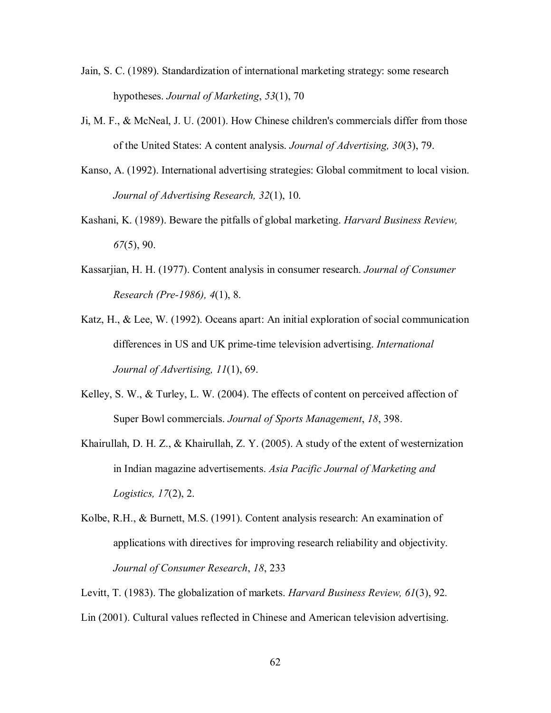- Jain, S. C. (1989). Standardization of international marketing strategy: some research hypotheses. *Journal of Marketing*, *53*(1), 70
- Ji, M. F., & McNeal, J. U. (2001). How Chinese children's commercials differ from those of the United States: A content analysis. *Journal of Advertising, 30*(3), 79.
- Kanso, A. (1992). International advertising strategies: Global commitment to local vision. *Journal of Advertising Research, 32*(1), 10.
- Kashani, K. (1989). Beware the pitfalls of global marketing. *Harvard Business Review, 67*(5), 90.
- Kassarjian, H. H. (1977). Content analysis in consumer research. *Journal of Consumer Research (Pre-1986), 4*(1), 8.
- Katz, H., & Lee, W. (1992). Oceans apart: An initial exploration of social communication differences in US and UK prime-time television advertising. *International Journal of Advertising, 11*(1), 69.
- Kelley, S. W., & Turley, L. W. (2004). The effects of content on perceived affection of Super Bowl commercials. *Journal of Sports Management*, *18*, 398.
- Khairullah, D. H. Z., & Khairullah, Z. Y. (2005). A study of the extent of westernization in Indian magazine advertisements. *Asia Pacific Journal of Marketing and Logistics, 17*(2), 2.
- Kolbe, R.H., & Burnett, M.S. (1991). Content analysis research: An examination of applications with directives for improving research reliability and objectivity. *Journal of Consumer Research*, *18*, 233
- Levitt, T. (1983). The globalization of markets. *Harvard Business Review, 61*(3), 92.
- Lin (2001). Cultural values reflected in Chinese and American television advertising.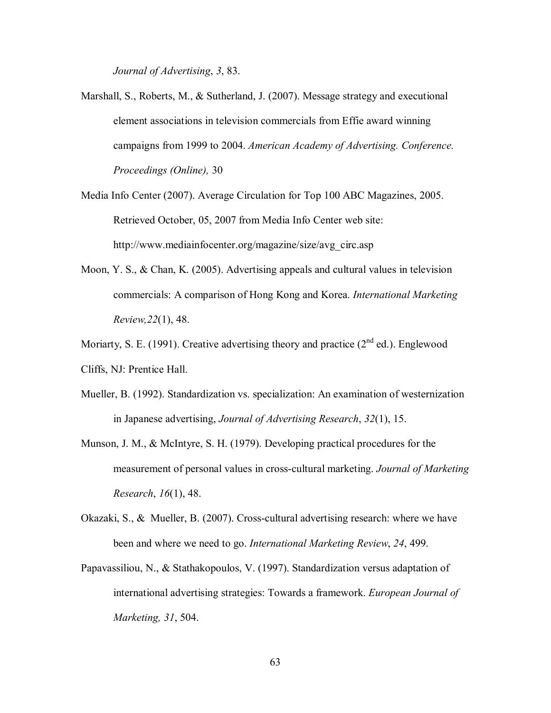*Journal of Advertising*, *3*, 83.

- Marshall, S., Roberts, M., & Sutherland, J. (2007). Message strategy and executional element associations in television commercials from Effie award winning campaigns from 1999 to 2004. *American Academy of Advertising. Conference. Proceedings (Online),* 30
- Media Info Center (2007). Average Circulation for Top 100 ABC Magazines, 2005. Retrieved October, 05, 2007 from Media Info Center web site: http://www.mediainfocenter.org/magazine/size/avg\_circ.asp
- Moon, Y. S., & Chan, K. (2005). Advertising appeals and cultural values in television commercials: A comparison of Hong Kong and Korea. *International Marketing Review,22*(1), 48.
- Moriarty, S. E. (1991). Creative advertising theory and practice  $(2^{nd}$  ed.). Englewood Cliffs, NJ: Prentice Hall.
- Mueller, B. (1992). Standardization vs. specialization: An examination of westernization in Japanese advertising, *Journal of Advertising Research*, *32*(1), 15.
- Munson, J. M., & McIntyre, S. H. (1979). Developing practical procedures for the measurement of personal values in cross-cultural marketing. *Journal of Marketing Research*, *16*(1), 48.
- Okazaki, S., & Mueller, B. (2007). Cross-cultural advertising research: where we have been and where we need to go. *International Marketing Review*, *24*, 499.
- Papavassiliou, N., & Stathakopoulos, V. (1997). Standardization versus adaptation of international advertising strategies: Towards a framework. *European Journal of Marketing, 31*, 504.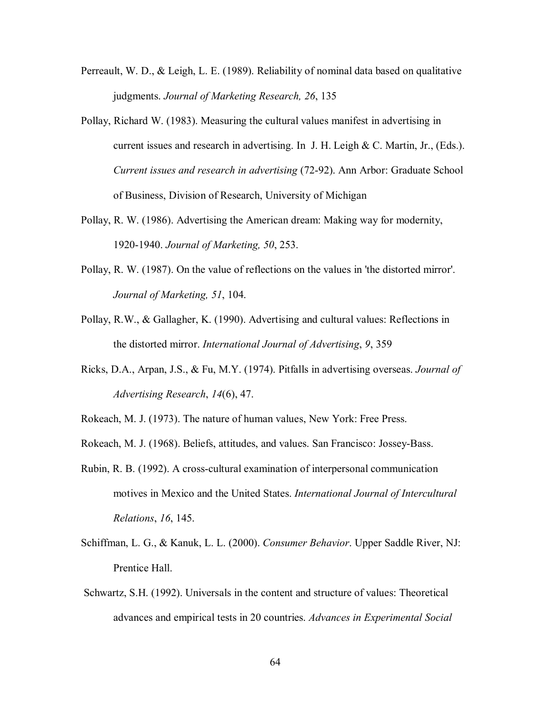- Perreault, W. D., & Leigh, L. E. (1989). Reliability of nominal data based on qualitative judgments. *Journal of Marketing Research, 26*, 135
- Pollay, Richard W. (1983). Measuring the cultural values manifest in advertising in current issues and research in advertising. In J. H. Leigh  $& C$ . Martin, Jr., (Eds.). *Current issues and research in advertising* (72-92). Ann Arbor: Graduate School of Business, Division of Research, University of Michigan
- Pollay, R. W. (1986). Advertising the American dream: Making way for modernity, 1920-1940. *Journal of Marketing, 50*, 253.
- Pollay, R. W. (1987). On the value of reflections on the values in 'the distorted mirror'. *Journal of Marketing, 51*, 104.
- Pollay, R.W., & Gallagher, K. (1990). Advertising and cultural values: Reflections in the distorted mirror. *International Journal of Advertising*, *9*, 359
- Ricks, D.A., Arpan, J.S., & Fu, M.Y. (1974). Pitfalls in advertising overseas. *Journal of Advertising Research*, *14*(6), 47.
- Rokeach, M. J. (1973). The nature of human values, New York: Free Press.
- Rokeach, M. J. (1968). Beliefs, attitudes, and values. San Francisco: Jossey-Bass.
- Rubin, R. B. (1992). A cross-cultural examination of interpersonal communication motives in Mexico and the United States. *International Journal of Intercultural Relations*, *16*, 145.
- Schiffman, L. G., & Kanuk, L. L. (2000). *Consumer Behavior*. Upper Saddle River, NJ: Prentice Hall.
- Schwartz, S.H. (1992). Universals in the content and structure of values: Theoretical advances and empirical tests in 20 countries. *Advances in Experimental Social*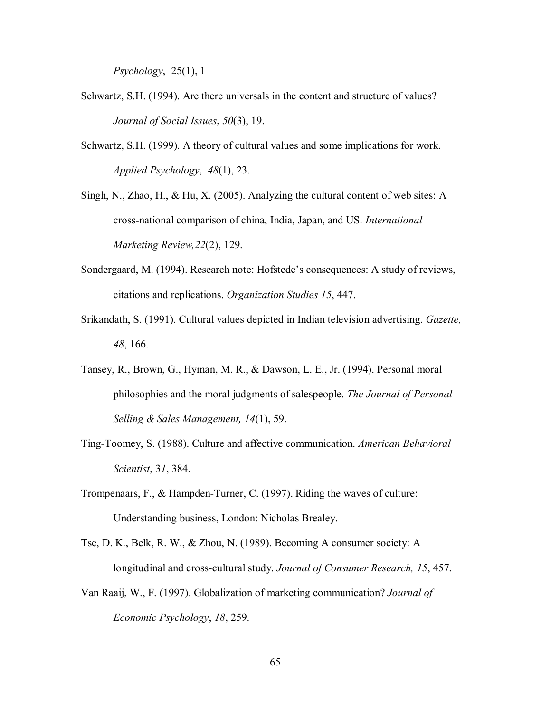*Psychology*, 25(1), 1

- Schwartz, S.H. (1994). Are there universals in the content and structure of values?  *Journal of Social Issues*, *50*(3), 19.
- Schwartz, S.H. (1999). A theory of cultural values and some implications for work. *Applied Psychology*, *48*(1), 23.
- Singh, N., Zhao, H., & Hu, X. (2005). Analyzing the cultural content of web sites: A cross-national comparison of china, India, Japan, and US. *International Marketing Review,22*(2), 129.
- Sondergaard, M. (1994). Research note: Hofstede's consequences: A study of reviews, citations and replications. *Organization Studies 15*, 447.
- Srikandath, S. (1991). Cultural values depicted in Indian television advertising. *Gazette, 48*, 166.
- Tansey, R., Brown, G., Hyman, M. R., & Dawson, L. E., Jr. (1994). Personal moral philosophies and the moral judgments of salespeople. *The Journal of Personal Selling & Sales Management, 14*(1), 59.
- Ting-Toomey, S. (1988). Culture and affective communication. *American Behavioral Scientist*, 3*1*, 384.
- Trompenaars, F., & Hampden-Turner, C. (1997). Riding the waves of culture: Understanding business, London: Nicholas Brealey.
- Tse, D. K., Belk, R. W., & Zhou, N. (1989). Becoming A consumer society: A longitudinal and cross-cultural study. *Journal of Consumer Research, 15*, 457.
- Van Raaij, W., F. (1997). Globalization of marketing communication? *Journal of Economic Psychology*, *18*, 259.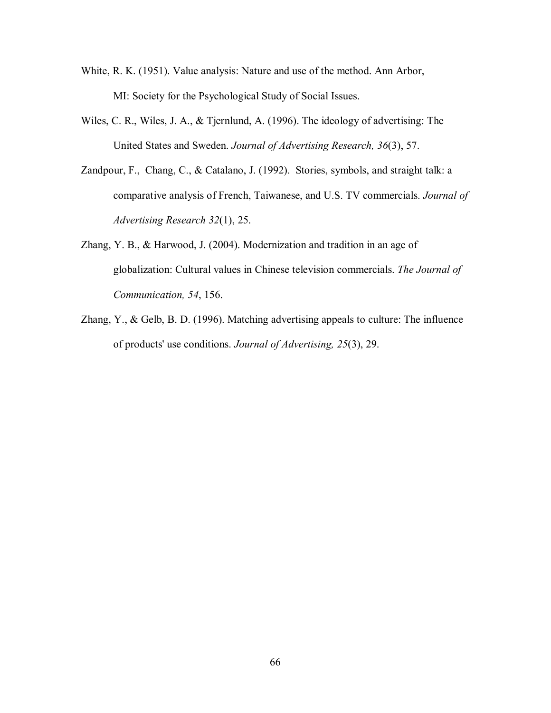- White, R. K. (1951). Value analysis: Nature and use of the method. Ann Arbor, MI: Society for the Psychological Study of Social Issues.
- Wiles, C. R., Wiles, J. A., & Tjernlund, A. (1996). The ideology of advertising: The United States and Sweden. *Journal of Advertising Research, 36*(3), 57.
- Zandpour, F., Chang, C., & Catalano, J. (1992). Stories, symbols, and straight talk: a comparative analysis of French, Taiwanese, and U.S. TV commercials. *Journal of Advertising Research 32*(1), 25.
- Zhang, Y. B., & Harwood, J. (2004). Modernization and tradition in an age of globalization: Cultural values in Chinese television commercials. *The Journal of Communication, 54*, 156.
- Zhang, Y., & Gelb, B. D. (1996). Matching advertising appeals to culture: The influence of products' use conditions. *Journal of Advertising, 25*(3), 29.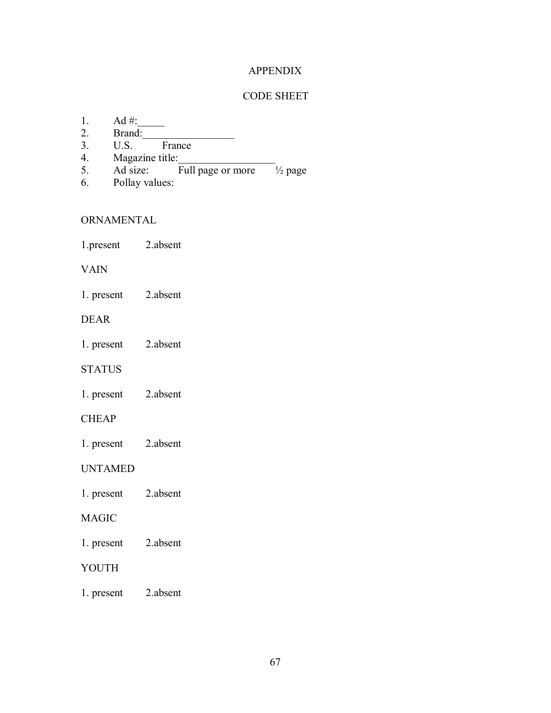## APPENDIX

### CODE SHEET

- 1. Ad  $\#$ :<br>2. Brand:
- $\overline{\text{Brand:}}$ <br>U.S.
- 3. U.S. France
- 
- 4. Magazine title:<br>5. Ad size:  $\frac{1}{2}$  Full page or more  $\frac{1}{2}$  page 5. Ad size: Full page or more
- 6. Pollay values:

## **ORNAMENTAL**

1.present 2.absent

### VAIN

1. present 2.absent

## DEAR

1. present 2.absent

## STATUS

1. present 2.absent

## **CHEAP**

1. present 2.absent

## UNTAMED

1. present 2.absent

## MAGIC

1. present 2.absent

## YOUTH

1. present 2.absent